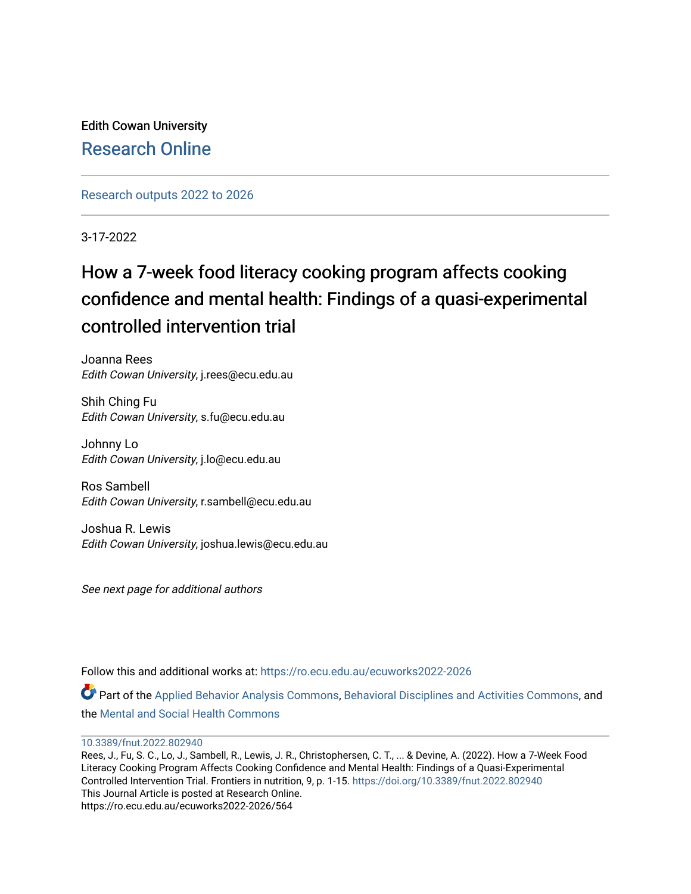Edith Cowan University [Research Online](https://ro.ecu.edu.au/) 

[Research outputs 2022 to 2026](https://ro.ecu.edu.au/ecuworks2022-2026) 

3-17-2022

# How a 7-week food literacy cooking program affects cooking confidence and mental health: Findings of a quasi-experimental controlled intervention trial

Joanna Rees Edith Cowan University, j.rees@ecu.edu.au

Shih Ching Fu Edith Cowan University, s.fu@ecu.edu.au

Johnny Lo Edith Cowan University, j.lo@ecu.edu.au

Ros Sambell Edith Cowan University, r.sambell@ecu.edu.au

Joshua R. Lewis Edith Cowan University, joshua.lewis@ecu.edu.au

See next page for additional authors

Follow this and additional works at: [https://ro.ecu.edu.au/ecuworks2022-2026](https://ro.ecu.edu.au/ecuworks2022-2026?utm_source=ro.ecu.edu.au%2Fecuworks2022-2026%2F564&utm_medium=PDF&utm_campaign=PDFCoverPages)

Part of the [Applied Behavior Analysis Commons](https://network.bepress.com/hgg/discipline/1235?utm_source=ro.ecu.edu.au%2Fecuworks2022-2026%2F564&utm_medium=PDF&utm_campaign=PDFCoverPages), [Behavioral Disciplines and Activities Commons](https://network.bepress.com/hgg/discipline/980?utm_source=ro.ecu.edu.au%2Fecuworks2022-2026%2F564&utm_medium=PDF&utm_campaign=PDFCoverPages), and the [Mental and Social Health Commons](https://network.bepress.com/hgg/discipline/709?utm_source=ro.ecu.edu.au%2Fecuworks2022-2026%2F564&utm_medium=PDF&utm_campaign=PDFCoverPages) 

[10.3389/fnut.2022.802940](http://dx.doi.org/10.3389/fnut.2022.802940) 

Rees, J., Fu, S. C., Lo, J., Sambell, R., Lewis, J. R., Christophersen, C. T., ... & Devine, A. (2022). How a 7-Week Food Literacy Cooking Program Affects Cooking Confidence and Mental Health: Findings of a Quasi-Experimental Controlled Intervention Trial. Frontiers in nutrition, 9, p. 1-15.<https://doi.org/10.3389/fnut.2022.802940> This Journal Article is posted at Research Online. https://ro.ecu.edu.au/ecuworks2022-2026/564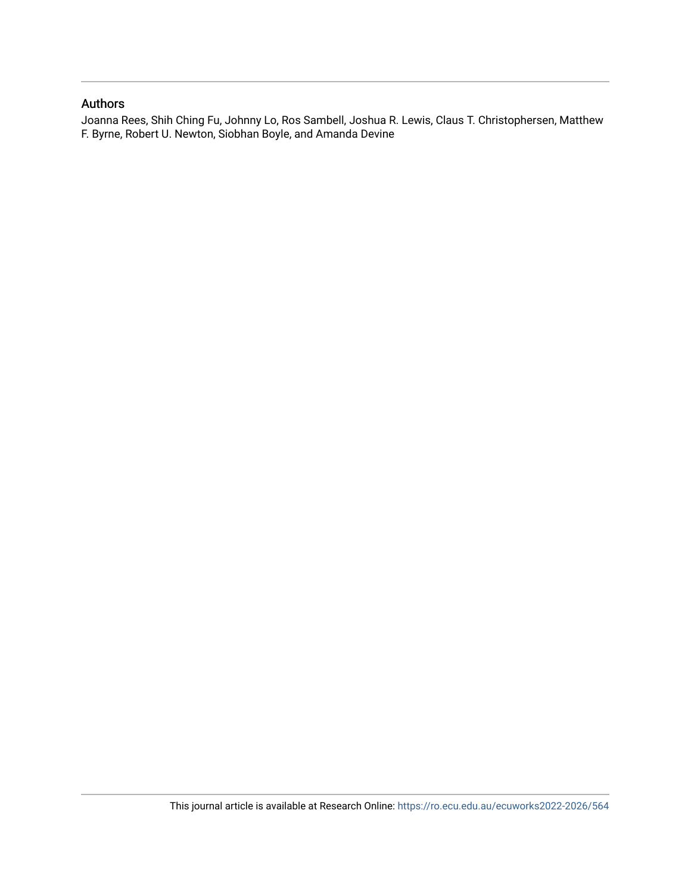### Authors

Joanna Rees, Shih Ching Fu, Johnny Lo, Ros Sambell, Joshua R. Lewis, Claus T. Christophersen, Matthew F. Byrne, Robert U. Newton, Siobhan Boyle, and Amanda Devine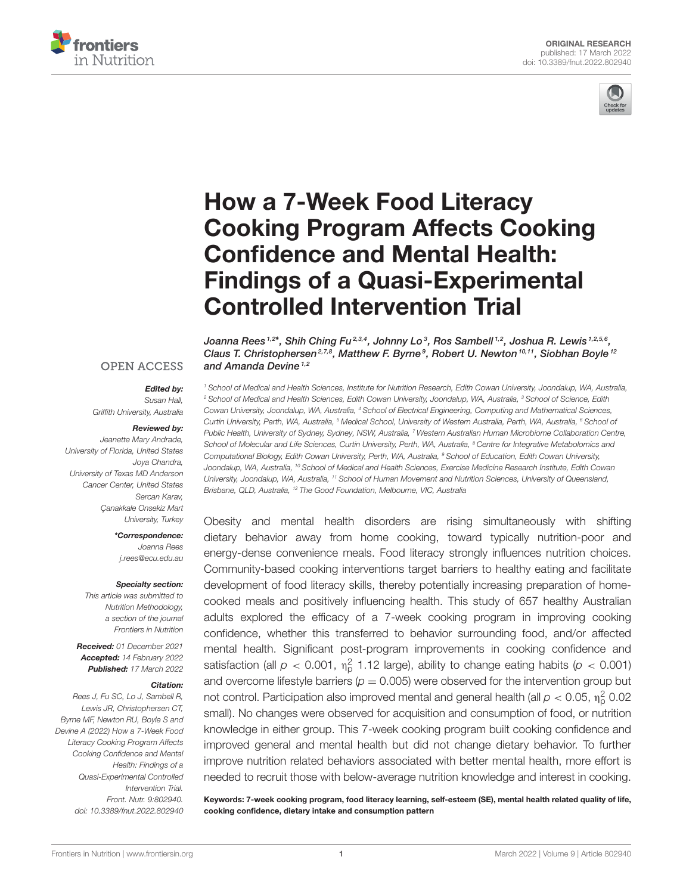



# How a 7-Week Food Literacy [Cooking Program Affects Cooking](https://www.frontiersin.org/articles/10.3389/fnut.2022.802940/full) Confidence and Mental Health: Findings of a Quasi-Experimental Controlled Intervention Trial

Joanna Rees $^{1,2\star}$ , Shih Ching Fu $^{2,3,4}$ , Johnny Lo $^3$ , Ros Sambell $^{1,2}$ , Joshua R. Lewis $^{1,2,5,6}$ , Claus T. Christophersen<sup>2,7,8</sup>, Matthew F. Byrne<sup>9</sup>, Robert U. Newton<sup>10,11</sup>, Siobhan Boyle<sup>12</sup> and Amanda Devine<sup> $1,2$ </sup>

<sup>1</sup> School of Medical and Health Sciences, Institute for Nutrition Research, Edith Cowan University, Joondalup, WA, Australia, <sup>2</sup> School of Medical and Health Sciences, Edith Cowan University, Joondalup, WA, Australia, <sup>3</sup> School of Science, Edith Cowan University, Joondalup, WA, Australia, <sup>4</sup> School of Electrical Engineering, Computing and Mathematical Sciences, Curtin University, Perth, WA, Australia, <sup>5</sup> Medical School, University of Western Australia, Perth, WA, Australia, <sup>6</sup> School of Public Health, University of Sydney, Sydney, NSW, Australia, <sup>7</sup> Western Australian Human Microbiome Collaboration Centre, School of Molecular and Life Sciences, Curtin University, Perth, WA, Australia, <sup>8</sup> Centre for Integrative Metabolomics and Computational Biology, Edith Cowan University, Perth, WA, Australia, <sup>9</sup> School of Education, Edith Cowan University, Joondalup, WA, Australia, <sup>10</sup> School of Medical and Health Sciences, Exercise Medicine Research Institute, Edith Cowan University, Joondalup, WA, Australia, <sup>11</sup> School of Human Movement and Nutrition Sciences, University of Queensland, Brisbane, QLD, Australia, <sup>12</sup> The Good Foundation, Melbourne, VIC, Australia

Obesity and mental health disorders are rising simultaneously with shifting dietary behavior away from home cooking, toward typically nutrition-poor and energy-dense convenience meals. Food literacy strongly influences nutrition choices. Community-based cooking interventions target barriers to healthy eating and facilitate development of food literacy skills, thereby potentially increasing preparation of homecooked meals and positively influencing health. This study of 657 healthy Australian adults explored the efficacy of a 7-week cooking program in improving cooking confidence, whether this transferred to behavior surrounding food, and/or affected mental health. Significant post-program improvements in cooking confidence and satisfaction (all  $p < 0.001$ ,  $\eta_p^2$  1.12 large), ability to change eating habits ( $p < 0.001$ ) and overcome lifestyle barriers ( $p = 0.005$ ) were observed for the intervention group but not control. Participation also improved mental and general health (all  $p < 0.05$ ,  $\eta_{\rm p}^2$  0.02 small). No changes were observed for acquisition and consumption of food, or nutrition knowledge in either group. This 7-week cooking program built cooking confidence and improved general and mental health but did not change dietary behavior. To further improve nutrition related behaviors associated with better mental health, more effort is needed to recruit those with below-average nutrition knowledge and interest in cooking.

Keywords: 7-week cooking program, food literacy learning, self-esteem (SE), mental health related quality of life, cooking confidence, dietary intake and consumption pattern

#### **OPEN ACCESS**

#### Edited by:

Susan Hall, Griffith University, Australia

#### Reviewed by:

Jeanette Mary Andrade, University of Florida, United States Joya Chandra, University of Texas MD Anderson Cancer Center, United States Sercan Karav, Çanakkale Onsekiz Mart University, Turkey

> \*Correspondence: Joanna Rees [j.rees@ecu.edu.au](mailto:j.rees@ecu.edu.au)

#### Specialty section:

This article was submitted to Nutrition Methodology, a section of the journal Frontiers in Nutrition

Received: 01 December 2021 Accepted: 14 February 2022 Published: 17 March 2022

#### Citation:

Rees J, Fu SC, Lo J, Sambell R, Lewis JR, Christophersen CT, Byrne MF, Newton RU, Boyle S and Devine A (2022) How a 7-Week Food Literacy Cooking Program Affects Cooking Confidence and Mental Health: Findings of a Quasi-Experimental Controlled Intervention Trial. Front. Nutr. 9:802940. doi: [10.3389/fnut.2022.802940](https://doi.org/10.3389/fnut.2022.802940)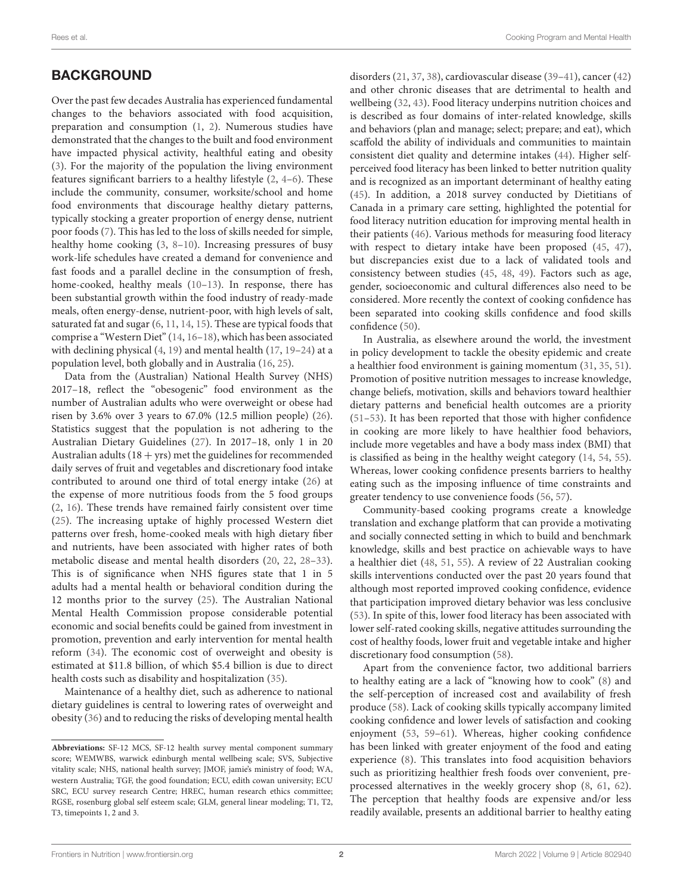## **BACKGROUND**

Over the past few decades Australia has experienced fundamental changes to the behaviors associated with food acquisition, preparation and consumption [\(1,](#page-13-0) [2\)](#page-13-1). Numerous studies have demonstrated that the changes to the built and food environment have impacted physical activity, healthful eating and obesity [\(3\)](#page-13-2). For the majority of the population the living environment features significant barriers to a healthy lifestyle [\(2,](#page-13-1) [4–](#page-13-3)[6\)](#page-13-4). These include the community, consumer, worksite/school and home food environments that discourage healthy dietary patterns, typically stocking a greater proportion of energy dense, nutrient poor foods [\(7\)](#page-13-5). This has led to the loss of skills needed for simple, healthy home cooking [\(3,](#page-13-2) [8–](#page-13-6)[10\)](#page-13-7). Increasing pressures of busy work-life schedules have created a demand for convenience and fast foods and a parallel decline in the consumption of fresh, home-cooked, healthy meals [\(10–](#page-13-7)[13\)](#page-13-8). In response, there has been substantial growth within the food industry of ready-made meals, often energy-dense, nutrient-poor, with high levels of salt, saturated fat and sugar [\(6,](#page-13-4) [11,](#page-13-9) [14,](#page-14-0) [15\)](#page-14-1). These are typical foods that comprise a "Western Diet" [\(14,](#page-14-0) [16–](#page-14-2)[18\)](#page-14-3), which has been associated with declining physical [\(4,](#page-13-3) [19\)](#page-14-4) and mental health [\(17,](#page-14-5) [19](#page-14-4)[–24\)](#page-14-6) at a population level, both globally and in Australia [\(16,](#page-14-2) [25\)](#page-14-7).

Data from the (Australian) National Health Survey (NHS) 2017–18, reflect the "obesogenic" food environment as the number of Australian adults who were overweight or obese had risen by 3.6% over 3 years to 67.0% (12.5 million people) [\(26\)](#page-14-8). Statistics suggest that the population is not adhering to the Australian Dietary Guidelines [\(27\)](#page-14-9). In 2017–18, only 1 in 20 Australian adults  $(18 + yrs)$  met the guidelines for recommended daily serves of fruit and vegetables and discretionary food intake contributed to around one third of total energy intake [\(26\)](#page-14-8) at the expense of more nutritious foods from the 5 food groups [\(2,](#page-13-1) [16\)](#page-14-2). These trends have remained fairly consistent over time [\(25\)](#page-14-7). The increasing uptake of highly processed Western diet patterns over fresh, home-cooked meals with high dietary fiber and nutrients, have been associated with higher rates of both metabolic disease and mental health disorders [\(20,](#page-14-10) [22,](#page-14-11) [28–](#page-14-12)[33\)](#page-14-13). This is of significance when NHS figures state that 1 in 5 adults had a mental health or behavioral condition during the 12 months prior to the survey [\(25\)](#page-14-7). The Australian National Mental Health Commission propose considerable potential economic and social benefits could be gained from investment in promotion, prevention and early intervention for mental health reform [\(34\)](#page-14-14). The economic cost of overweight and obesity is estimated at \$11.8 billion, of which \$5.4 billion is due to direct health costs such as disability and hospitalization [\(35\)](#page-14-15).

Maintenance of a healthy diet, such as adherence to national dietary guidelines is central to lowering rates of overweight and obesity [\(36\)](#page-14-16) and to reducing the risks of developing mental health disorders [\(21,](#page-14-17) [37,](#page-14-18) [38\)](#page-14-19), cardiovascular disease [\(39–](#page-14-20)[41\)](#page-14-21), cancer [\(42\)](#page-14-22) and other chronic diseases that are detrimental to health and wellbeing [\(32,](#page-14-23) [43\)](#page-14-24). Food literacy underpins nutrition choices and is described as four domains of inter-related knowledge, skills and behaviors (plan and manage; select; prepare; and eat), which scaffold the ability of individuals and communities to maintain consistent diet quality and determine intakes [\(44\)](#page-14-25). Higher selfperceived food literacy has been linked to better nutrition quality and is recognized as an important determinant of healthy eating [\(45\)](#page-14-26). In addition, a 2018 survey conducted by Dietitians of Canada in a primary care setting, highlighted the potential for food literacy nutrition education for improving mental health in their patients [\(46\)](#page-14-27). Various methods for measuring food literacy with respect to dietary intake have been proposed [\(45,](#page-14-26) [47\)](#page-14-28), but discrepancies exist due to a lack of validated tools and consistency between studies [\(45,](#page-14-26) [48,](#page-14-29) [49\)](#page-14-30). Factors such as age, gender, socioeconomic and cultural differences also need to be considered. More recently the context of cooking confidence has been separated into cooking skills confidence and food skills confidence [\(50\)](#page-14-31).

In Australia, as elsewhere around the world, the investment in policy development to tackle the obesity epidemic and create a healthier food environment is gaining momentum [\(31,](#page-14-32) [35,](#page-14-15) [51\)](#page-14-33). Promotion of positive nutrition messages to increase knowledge, change beliefs, motivation, skills and behaviors toward healthier dietary patterns and beneficial health outcomes are a priority [\(51](#page-14-33)[–53\)](#page-15-0). It has been reported that those with higher confidence in cooking are more likely to have healthier food behaviors, include more vegetables and have a body mass index (BMI) that is classified as being in the healthy weight category [\(14,](#page-14-0) [54,](#page-15-1) [55\)](#page-15-2). Whereas, lower cooking confidence presents barriers to healthy eating such as the imposing influence of time constraints and greater tendency to use convenience foods [\(56,](#page-15-3) [57\)](#page-15-4).

Community-based cooking programs create a knowledge translation and exchange platform that can provide a motivating and socially connected setting in which to build and benchmark knowledge, skills and best practice on achievable ways to have a healthier diet [\(48,](#page-14-29) [51,](#page-14-33) [55\)](#page-15-2). A review of 22 Australian cooking skills interventions conducted over the past 20 years found that although most reported improved cooking confidence, evidence that participation improved dietary behavior was less conclusive [\(53\)](#page-15-0). In spite of this, lower food literacy has been associated with lower self-rated cooking skills, negative attitudes surrounding the cost of healthy foods, lower fruit and vegetable intake and higher discretionary food consumption [\(58\)](#page-15-5).

Apart from the convenience factor, two additional barriers to healthy eating are a lack of "knowing how to cook" [\(8\)](#page-13-6) and the self-perception of increased cost and availability of fresh produce [\(58\)](#page-15-5). Lack of cooking skills typically accompany limited cooking confidence and lower levels of satisfaction and cooking enjoyment [\(53,](#page-15-0) [59](#page-15-6)[–61\)](#page-15-7). Whereas, higher cooking confidence has been linked with greater enjoyment of the food and eating experience [\(8\)](#page-13-6). This translates into food acquisition behaviors such as prioritizing healthier fresh foods over convenient, preprocessed alternatives in the weekly grocery shop [\(8,](#page-13-6) [61,](#page-15-7) [62\)](#page-15-8). The perception that healthy foods are expensive and/or less readily available, presents an additional barrier to healthy eating

**Abbreviations:** SF-12 MCS, SF-12 health survey mental component summary score; WEMWBS, warwick edinburgh mental wellbeing scale; SVS, Subjective vitality scale; NHS, national health survey; JMOF, jamie's ministry of food; WA, western Australia; TGF, the good foundation; ECU, edith cowan university; ECU SRC, ECU survey research Centre; HREC, human research ethics committee; RGSE, rosenburg global self esteem scale; GLM, general linear modeling; T1, T2, T3, timepoints 1, 2 and 3.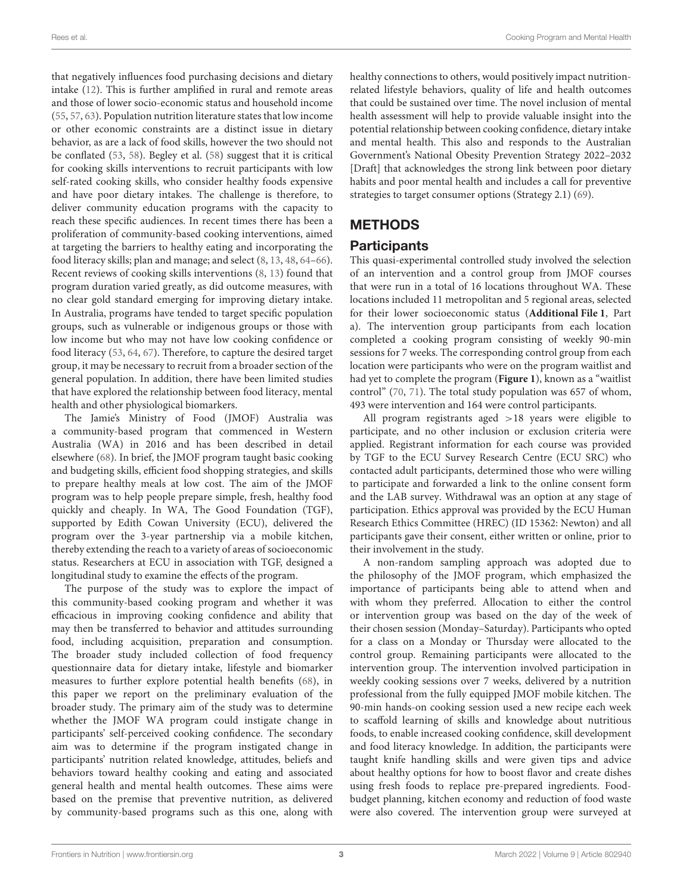that negatively influences food purchasing decisions and dietary intake [\(12\)](#page-13-10). This is further amplified in rural and remote areas and those of lower socio-economic status and household income [\(55,](#page-15-2) [57,](#page-15-4) [63\)](#page-15-9). Population nutrition literature states that low income or other economic constraints are a distinct issue in dietary behavior, as are a lack of food skills, however the two should not be conflated [\(53,](#page-15-0) [58\)](#page-15-5). Begley et al. [\(58\)](#page-15-5) suggest that it is critical for cooking skills interventions to recruit participants with low self-rated cooking skills, who consider healthy foods expensive and have poor dietary intakes. The challenge is therefore, to deliver community education programs with the capacity to reach these specific audiences. In recent times there has been a proliferation of community-based cooking interventions, aimed at targeting the barriers to healthy eating and incorporating the food literacy skills; plan and manage; and select [\(8,](#page-13-6) [13,](#page-13-8) [48,](#page-14-29) [64–](#page-15-10)[66\)](#page-15-11). Recent reviews of cooking skills interventions [\(8,](#page-13-6) [13\)](#page-13-8) found that program duration varied greatly, as did outcome measures, with no clear gold standard emerging for improving dietary intake. In Australia, programs have tended to target specific population groups, such as vulnerable or indigenous groups or those with low income but who may not have low cooking confidence or food literacy [\(53,](#page-15-0) [64,](#page-15-10) [67\)](#page-15-12). Therefore, to capture the desired target group, it may be necessary to recruit from a broader section of the general population. In addition, there have been limited studies that have explored the relationship between food literacy, mental health and other physiological biomarkers.

The Jamie's Ministry of Food (JMOF) Australia was a community-based program that commenced in Western Australia (WA) in 2016 and has been described in detail elsewhere [\(68\)](#page-15-13). In brief, the JMOF program taught basic cooking and budgeting skills, efficient food shopping strategies, and skills to prepare healthy meals at low cost. The aim of the JMOF program was to help people prepare simple, fresh, healthy food quickly and cheaply. In WA, The Good Foundation (TGF), supported by Edith Cowan University (ECU), delivered the program over the 3-year partnership via a mobile kitchen, thereby extending the reach to a variety of areas of socioeconomic status. Researchers at ECU in association with TGF, designed a longitudinal study to examine the effects of the program.

The purpose of the study was to explore the impact of this community-based cooking program and whether it was efficacious in improving cooking confidence and ability that may then be transferred to behavior and attitudes surrounding food, including acquisition, preparation and consumption. The broader study included collection of food frequency questionnaire data for dietary intake, lifestyle and biomarker measures to further explore potential health benefits [\(68\)](#page-15-13), in this paper we report on the preliminary evaluation of the broader study. The primary aim of the study was to determine whether the JMOF WA program could instigate change in participants' self-perceived cooking confidence. The secondary aim was to determine if the program instigated change in participants' nutrition related knowledge, attitudes, beliefs and behaviors toward healthy cooking and eating and associated general health and mental health outcomes. These aims were based on the premise that preventive nutrition, as delivered by community-based programs such as this one, along with healthy connections to others, would positively impact nutritionrelated lifestyle behaviors, quality of life and health outcomes that could be sustained over time. The novel inclusion of mental health assessment will help to provide valuable insight into the potential relationship between cooking confidence, dietary intake and mental health. This also and responds to the Australian Government's National Obesity Prevention Strategy 2022–2032 [Draft] that acknowledges the strong link between poor dietary habits and poor mental health and includes a call for preventive strategies to target consumer options (Strategy 2.1) [\(69\)](#page-15-14).

## **METHODS**

## Participants

This quasi-experimental controlled study involved the selection of an intervention and a control group from JMOF courses that were run in a total of 16 locations throughout WA. These locations included 11 metropolitan and 5 regional areas, selected for their lower socioeconomic status (**[Additional File 1](#page-13-11)**, Part a). The intervention group participants from each location completed a cooking program consisting of weekly 90-min sessions for 7 weeks. The corresponding control group from each location were participants who were on the program waitlist and had yet to complete the program (**[Figure 1](#page-5-0)**), known as a "waitlist control" [\(70,](#page-15-15) [71\)](#page-15-16). The total study population was 657 of whom, 493 were intervention and 164 were control participants.

All program registrants aged >18 years were eligible to participate, and no other inclusion or exclusion criteria were applied. Registrant information for each course was provided by TGF to the ECU Survey Research Centre (ECU SRC) who contacted adult participants, determined those who were willing to participate and forwarded a link to the online consent form and the LAB survey. Withdrawal was an option at any stage of participation. Ethics approval was provided by the ECU Human Research Ethics Committee (HREC) (ID 15362: Newton) and all participants gave their consent, either written or online, prior to their involvement in the study.

A non-random sampling approach was adopted due to the philosophy of the JMOF program, which emphasized the importance of participants being able to attend when and with whom they preferred. Allocation to either the control or intervention group was based on the day of the week of their chosen session (Monday–Saturday). Participants who opted for a class on a Monday or Thursday were allocated to the control group. Remaining participants were allocated to the intervention group. The intervention involved participation in weekly cooking sessions over 7 weeks, delivered by a nutrition professional from the fully equipped JMOF mobile kitchen. The 90-min hands-on cooking session used a new recipe each week to scaffold learning of skills and knowledge about nutritious foods, to enable increased cooking confidence, skill development and food literacy knowledge. In addition, the participants were taught knife handling skills and were given tips and advice about healthy options for how to boost flavor and create dishes using fresh foods to replace pre-prepared ingredients. Foodbudget planning, kitchen economy and reduction of food waste were also covered. The intervention group were surveyed at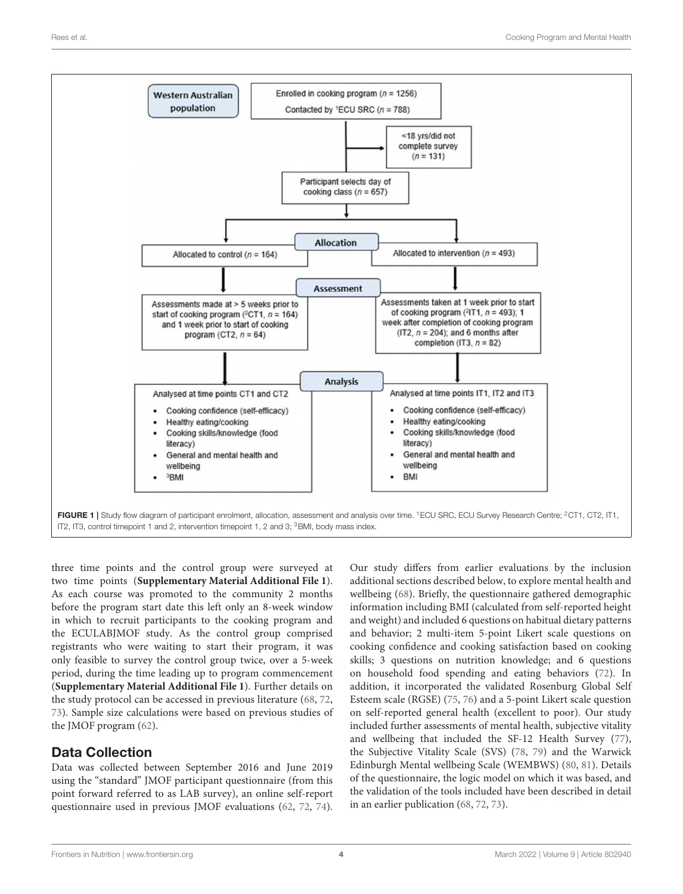

<span id="page-5-0"></span>IT2, IT3, control timepoint 1 and 2, intervention timepoint 1, 2 and 3; <sup>3</sup>BMI, body mass index.

three time points and the control group were surveyed at two time points (**[Supplementary Material Additional File 1](#page-13-11)**). As each course was promoted to the community 2 months before the program start date this left only an 8-week window in which to recruit participants to the cooking program and the ECULABJMOF study. As the control group comprised registrants who were waiting to start their program, it was only feasible to survey the control group twice, over a 5-week period, during the time leading up to program commencement (**[Supplementary Material Additional File 1](#page-13-11)**). Further details on the study protocol can be accessed in previous literature [\(68,](#page-15-13) [72,](#page-15-17) [73\)](#page-15-18). Sample size calculations were based on previous studies of the JMOF program [\(62\)](#page-15-8).

# Data Collection

Data was collected between September 2016 and June 2019 using the "standard" JMOF participant questionnaire (from this point forward referred to as LAB survey), an online self-report questionnaire used in previous JMOF evaluations [\(62,](#page-15-8) [72,](#page-15-17) [74\)](#page-15-19). Our study differs from earlier evaluations by the inclusion additional sections described below, to explore mental health and wellbeing [\(68\)](#page-15-13). Briefly, the questionnaire gathered demographic information including BMI (calculated from self-reported height and weight) and included 6 questions on habitual dietary patterns and behavior; 2 multi-item 5-point Likert scale questions on cooking confidence and cooking satisfaction based on cooking skills; 3 questions on nutrition knowledge; and 6 questions on household food spending and eating behaviors [\(72\)](#page-15-17). In addition, it incorporated the validated Rosenburg Global Self Esteem scale (RGSE) [\(75,](#page-15-20) [76\)](#page-15-21) and a 5-point Likert scale question on self-reported general health (excellent to poor). Our study included further assessments of mental health, subjective vitality and wellbeing that included the SF-12 Health Survey [\(77\)](#page-15-22), the Subjective Vitality Scale (SVS) [\(78,](#page-15-23) [79\)](#page-15-24) and the Warwick Edinburgh Mental wellbeing Scale (WEMBWS) [\(80,](#page-15-25) [81\)](#page-15-26). Details of the questionnaire, the logic model on which it was based, and the validation of the tools included have been described in detail in an earlier publication [\(68,](#page-15-13) [72,](#page-15-17) [73\)](#page-15-18).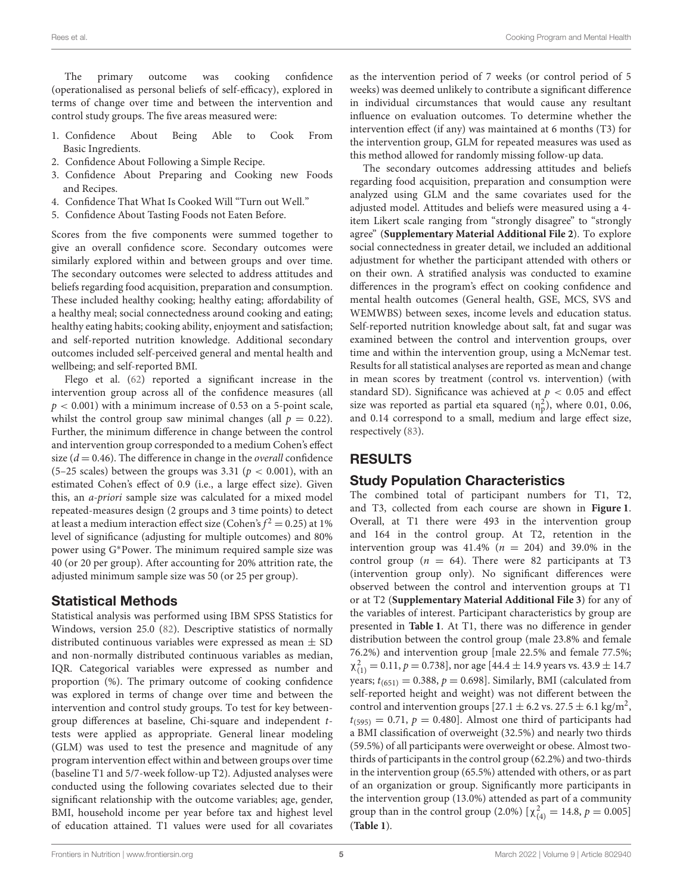The primary outcome was cooking confidence (operationalised as personal beliefs of self-efficacy), explored in terms of change over time and between the intervention and control study groups. The five areas measured were:

- 1. Confidence About Being Able to Cook From Basic Ingredients.
- 2. Confidence About Following a Simple Recipe.
- 3. Confidence About Preparing and Cooking new Foods and Recipes.
- 4. Confidence That What Is Cooked Will "Turn out Well."
- 5. Confidence About Tasting Foods not Eaten Before.

Scores from the five components were summed together to give an overall confidence score. Secondary outcomes were similarly explored within and between groups and over time. The secondary outcomes were selected to address attitudes and beliefs regarding food acquisition, preparation and consumption. These included healthy cooking; healthy eating; affordability of a healthy meal; social connectedness around cooking and eating; healthy eating habits; cooking ability, enjoyment and satisfaction; and self-reported nutrition knowledge. Additional secondary outcomes included self-perceived general and mental health and wellbeing; and self-reported BMI.

Flego et al. [\(62\)](#page-15-8) reported a significant increase in the intervention group across all of the confidence measures (all  $p < 0.001$ ) with a minimum increase of 0.53 on a 5-point scale, whilst the control group saw minimal changes (all  $p = 0.22$ ). Further, the minimum difference in change between the control and intervention group corresponded to a medium Cohen's effect size ( $d = 0.46$ ). The difference in change in the *overall* confidence (5–25 scales) between the groups was 3.31 ( $p < 0.001$ ), with an estimated Cohen's effect of 0.9 (i.e., a large effect size). Given this, an a-priori sample size was calculated for a mixed model repeated-measures design (2 groups and 3 time points) to detect at least a medium interaction effect size (Cohen's $f^2$  = 0.25) at 1% level of significance (adjusting for multiple outcomes) and 80% power using G∗Power. The minimum required sample size was 40 (or 20 per group). After accounting for 20% attrition rate, the adjusted minimum sample size was 50 (or 25 per group).

## Statistical Methods

Statistical analysis was performed using IBM SPSS Statistics for Windows, version 25.0 [\(82\)](#page-15-27). Descriptive statistics of normally distributed continuous variables were expressed as mean ± SD and non-normally distributed continuous variables as median, IQR. Categorical variables were expressed as number and proportion (%). The primary outcome of cooking confidence was explored in terms of change over time and between the intervention and control study groups. To test for key betweengroup differences at baseline, Chi-square and independent ttests were applied as appropriate. General linear modeling (GLM) was used to test the presence and magnitude of any program intervention effect within and between groups over time (baseline T1 and 5/7-week follow-up T2). Adjusted analyses were conducted using the following covariates selected due to their significant relationship with the outcome variables; age, gender, BMI, household income per year before tax and highest level of education attained. T1 values were used for all covariates as the intervention period of 7 weeks (or control period of 5 weeks) was deemed unlikely to contribute a significant difference in individual circumstances that would cause any resultant influence on evaluation outcomes. To determine whether the intervention effect (if any) was maintained at 6 months (T3) for the intervention group, GLM for repeated measures was used as this method allowed for randomly missing follow-up data.

The secondary outcomes addressing attitudes and beliefs regarding food acquisition, preparation and consumption were analyzed using GLM and the same covariates used for the adjusted model. Attitudes and beliefs were measured using a 4 item Likert scale ranging from "strongly disagree" to "strongly agree" (**[Supplementary Material Additional File 2](#page-13-11)**). To explore social connectedness in greater detail, we included an additional adjustment for whether the participant attended with others or on their own. A stratified analysis was conducted to examine differences in the program's effect on cooking confidence and mental health outcomes (General health, GSE, MCS, SVS and WEMWBS) between sexes, income levels and education status. Self-reported nutrition knowledge about salt, fat and sugar was examined between the control and intervention groups, over time and within the intervention group, using a McNemar test. Results for all statistical analyses are reported as mean and change in mean scores by treatment (control vs. intervention) (with standard SD). Significance was achieved at  $p < 0.05$  and effect size was reported as partial eta squared  $(n_p^2)$ , where 0.01, 0.06, and 0.14 correspond to a small, medium and large effect size, respectively [\(83\)](#page-15-28).

## RESULTS

## Study Population Characteristics

The combined total of participant numbers for T1, T2, and T3, collected from each course are shown in **[Figure 1](#page-5-0)**. Overall, at T1 there were 493 in the intervention group and 164 in the control group. At T2, retention in the intervention group was  $41.4\%$  ( $n = 204$ ) and 39.0% in the control group ( $n = 64$ ). There were 82 participants at T3 (intervention group only). No significant differences were observed between the control and intervention groups at T1 or at T2 (**[Supplementary Material Additional File 3](#page-13-11)**) for any of the variables of interest. Participant characteristics by group are presented in **[Table 1](#page-7-0)**. At T1, there was no difference in gender distribution between the control group (male 23.8% and female 76.2%) and intervention group [male 22.5% and female 77.5%;  $\chi^{2}_{(1)} = 0.11, p = 0.738$ , nor age [44.4 ± 14.9 years vs. 43.9 ± 14.7 years;  $t_{(651)} = 0.388$ ,  $p = 0.698$ ]. Similarly, BMI (calculated from self-reported height and weight) was not different between the control and intervention groups  $[27.1 \pm 6.2 \text{ vs. } 27.5 \pm 6.1 \text{ kg/m}^2,$  $t_{(595)} = 0.71$ ,  $p = 0.480$ ]. Almost one third of participants had a BMI classification of overweight (32.5%) and nearly two thirds (59.5%) of all participants were overweight or obese. Almost twothirds of participants in the control group (62.2%) and two-thirds in the intervention group (65.5%) attended with others, or as part of an organization or group. Significantly more participants in the intervention group (13.0%) attended as part of a community group than in the control group (2.0%)  $[\chi^2_{(4)} = 14.8, p = 0.005]$ (**[Table 1](#page-7-0)**).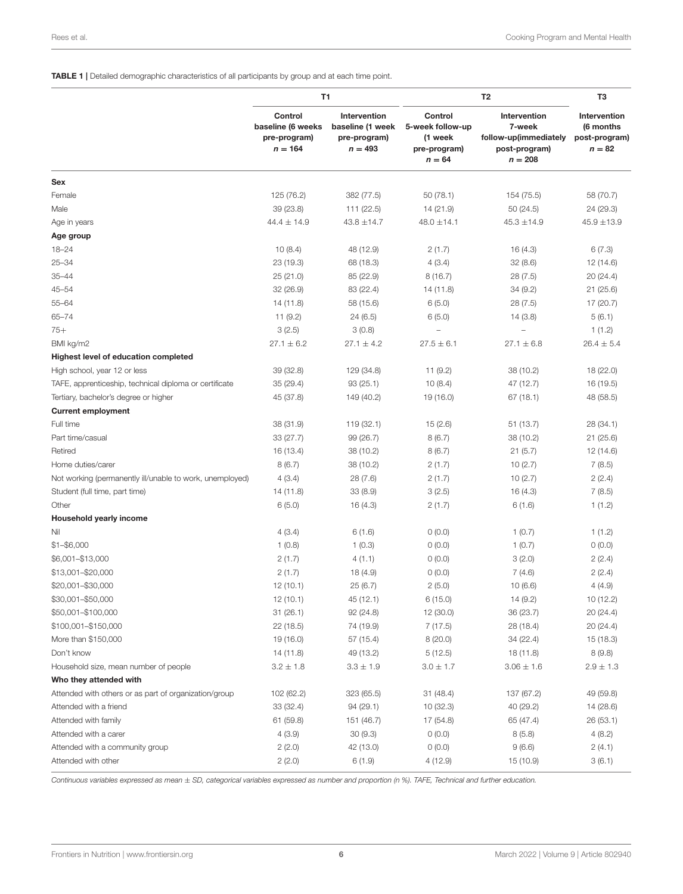#### <span id="page-7-0"></span>TABLE 1 | Detailed demographic characteristics of all participants by group and at each time point.

| Control<br>Intervention<br>Control<br>Intervention<br>Intervention<br>baseline (6 weeks<br>baseline (1 week<br>5-week follow-up<br>7-week<br>(6 months<br>follow-up(immediately<br>pre-program)<br>pre-program)<br>(1 week<br>post-program)<br>$n = 164$<br>$n = 493$<br>$n = 82$<br>pre-program)<br>post-program)<br>$n = 208$<br>$n = 64$<br>Sex<br>Female<br>125 (76.2)<br>382 (77.5)<br>50(78.1)<br>154 (75.5)<br>58 (70.7)<br>39 (23.8)<br>111 (22.5)<br>14 (21.9)<br>Male<br>50 (24.5)<br>24 (29.3)<br>$44.4 \pm 14.9$<br>$43.8 \pm 14.7$<br>$48.0 \pm 14.1$<br>$45.3 \pm 14.9$<br>$45.9 \pm 13.9$<br>Age in years<br>Age group<br>$18 - 24$<br>10(8.4)<br>48 (12.9)<br>6(7.3)<br>2(1.7)<br>16 (4.3)<br>$25 - 34$<br>23 (19.3)<br>68 (18.3)<br>4(3.4)<br>32(8.6)<br>12 (14.6)<br>$35 - 44$<br>25(21.0)<br>85 (22.9)<br>8(16.7)<br>28(7.5)<br>20 (24.4)<br>$45 - 54$<br>83 (22.4)<br>14 (11.8)<br>34(9.2)<br>21 (25.6)<br>32(26.9)<br>$55 - 64$<br>14 (11.8)<br>58 (15.6)<br>6(5.0)<br>28(7.5)<br>17 (20.7)<br>$65 - 74$<br>11(9.2)<br>24(6.5)<br>6(5.0)<br>5(6.1)<br>14 (3.8)<br>$75+$<br>3(2.5)<br>3(0.8)<br>1(1.2)<br>BMI kg/m2<br>$27.1 \pm 6.2$<br>$27.1 \pm 4.2$<br>$26.4 \pm 5.4$<br>$27.5 \pm 6.1$<br>$27.1 \pm 6.8$<br>Highest level of education completed<br>High school, year 12 or less<br>39 (32.8)<br>129 (34.8)<br>11(9.2)<br>38 (10.2)<br>18 (22.0)<br>TAFE, apprenticeship, technical diploma or certificate<br>35 (29.4)<br>93(25.1)<br>10(8.4)<br>47 (12.7)<br>16 (19.5)<br>Tertiary, bachelor's degree or higher<br>45 (37.8)<br>149 (40.2)<br>19 (16.0)<br>67 (18.1)<br>48 (58.5)<br><b>Current employment</b><br>Full time<br>38 (31.9)<br>119 (32.1)<br>15(2.6)<br>51 (13.7)<br>28 (34.1)<br>Part time/casual<br>33 (27.7)<br>99 (26.7)<br>8(6.7)<br>38 (10.2)<br>21 (25.6)<br>Retired<br>16 (13.4)<br>38 (10.2)<br>8(6.7)<br>21(5.7)<br>12 (14.6)<br>Home duties/carer<br>8(6.7)<br>38 (10.2)<br>2(1.7)<br>10(2.7)<br>7(8.5)<br>Not working (permanently ill/unable to work, unemployed)<br>4(3.4)<br>28(7.6)<br>2(1.7)<br>10(2.7)<br>2(2.4)<br>Student (full time, part time)<br>14 (11.8)<br>33(8.9)<br>3(2.5)<br>7(8.5)<br>16 (4.3)<br>Other<br>6(5.0)<br>2(1.7)<br>16 (4.3)<br>6(1.6)<br>1(1.2)<br>Household yearly income<br>4(3.4)<br>Nil<br>6(1.6)<br>0(0.0)<br>1(0.7)<br>1(1.2)<br>$$1 - $6,000$<br>1(0.8)<br>1(0.3)<br>0(0.0)<br>1(0.7)<br>0(0.0)<br>\$6,001-\$13,000<br>2(1.7)<br>4(1.1)<br>0(0.0)<br>3(2.0)<br>2(2.4)<br>\$13,001-\$20,000<br>2(1.7)<br>0(0.0)<br>18(4.9)<br>7(4.6)<br>2(2.4)<br>\$20,001-\$30,000<br>12(10.1)<br>25(6.7)<br>2(5.0)<br>10(6.6)<br>4(4.9)<br>\$30,001-\$50,000<br>45 (12.1)<br>6(15.0)<br>14(9.2)<br>10 (12.2)<br>12 (10.1)<br>\$50,001-\$100,000<br>92(24.8)<br>12 (30.0)<br>36 (23.7)<br>20 (24.4)<br>31 (26.1)<br>\$100,001-\$150,000<br>22(18.5)<br>74 (19.9)<br>7(17.5)<br>28 (18.4)<br>20 (24.4)<br>More than \$150,000<br>19 (16.0)<br>57 (15.4)<br>8(20.0)<br>34 (22.4)<br>15 (18.3)<br>Don't know<br>49 (13.2)<br>5(12.5)<br>18 (11.8)<br>8(9.8)<br>14 (11.8)<br>$3.2 \pm 1.8$<br>$3.0 \pm 1.7$<br>Household size, mean number of people<br>$3.3 \pm 1.9$<br>$3.06 \pm 1.6$<br>$2.9 \pm 1.3$<br>Who they attended with<br>Attended with others or as part of organization/group<br>31(48.4)<br>49 (59.8)<br>102 (62.2)<br>323 (65.5)<br>137 (67.2)<br>33(32.4)<br>94(29.1)<br>10(32.3)<br>40 (29.2)<br>Attended with a friend<br>14 (28.6)<br>Attended with family<br>61 (59.8)<br>151 (46.7)<br>17 (54.8)<br>65 (47.4)<br>26 (53.1)<br>4(3.9)<br>30(9.3)<br>Attended with a carer<br>0(0.0)<br>8(5.8)<br>4(8.2)<br>Attended with a community group<br>2(2.0)<br>42 (13.0)<br>0(0.0)<br>9(6.6)<br>2(4.1)<br>4(12.9)<br>Attended with other<br>2(2.0)<br>6(1.9)<br>15 (10.9)<br>3(6.1) |  | T1 | T <sub>2</sub> | T3 |
|------------------------------------------------------------------------------------------------------------------------------------------------------------------------------------------------------------------------------------------------------------------------------------------------------------------------------------------------------------------------------------------------------------------------------------------------------------------------------------------------------------------------------------------------------------------------------------------------------------------------------------------------------------------------------------------------------------------------------------------------------------------------------------------------------------------------------------------------------------------------------------------------------------------------------------------------------------------------------------------------------------------------------------------------------------------------------------------------------------------------------------------------------------------------------------------------------------------------------------------------------------------------------------------------------------------------------------------------------------------------------------------------------------------------------------------------------------------------------------------------------------------------------------------------------------------------------------------------------------------------------------------------------------------------------------------------------------------------------------------------------------------------------------------------------------------------------------------------------------------------------------------------------------------------------------------------------------------------------------------------------------------------------------------------------------------------------------------------------------------------------------------------------------------------------------------------------------------------------------------------------------------------------------------------------------------------------------------------------------------------------------------------------------------------------------------------------------------------------------------------------------------------------------------------------------------------------------------------------------------------------------------------------------------------------------------------------------------------------------------------------------------------------------------------------------------------------------------------------------------------------------------------------------------------------------------------------------------------------------------------------------------------------------------------------------------------------------------------------------------------------------------------------------------------------------------------------------------------------------------------------------------------------------------------------------------------------------------------------------------------------------------------------------------------------------------------------------------------------------------------------------------------------------------------------------------------------------------------------------------------------------------------------------------------------------------------------------------------------------------------------------------------|--|----|----------------|----|
|                                                                                                                                                                                                                                                                                                                                                                                                                                                                                                                                                                                                                                                                                                                                                                                                                                                                                                                                                                                                                                                                                                                                                                                                                                                                                                                                                                                                                                                                                                                                                                                                                                                                                                                                                                                                                                                                                                                                                                                                                                                                                                                                                                                                                                                                                                                                                                                                                                                                                                                                                                                                                                                                                                                                                                                                                                                                                                                                                                                                                                                                                                                                                                                                                                                                                                                                                                                                                                                                                                                                                                                                                                                                                                                                                                        |  |    |                |    |
|                                                                                                                                                                                                                                                                                                                                                                                                                                                                                                                                                                                                                                                                                                                                                                                                                                                                                                                                                                                                                                                                                                                                                                                                                                                                                                                                                                                                                                                                                                                                                                                                                                                                                                                                                                                                                                                                                                                                                                                                                                                                                                                                                                                                                                                                                                                                                                                                                                                                                                                                                                                                                                                                                                                                                                                                                                                                                                                                                                                                                                                                                                                                                                                                                                                                                                                                                                                                                                                                                                                                                                                                                                                                                                                                                                        |  |    |                |    |
|                                                                                                                                                                                                                                                                                                                                                                                                                                                                                                                                                                                                                                                                                                                                                                                                                                                                                                                                                                                                                                                                                                                                                                                                                                                                                                                                                                                                                                                                                                                                                                                                                                                                                                                                                                                                                                                                                                                                                                                                                                                                                                                                                                                                                                                                                                                                                                                                                                                                                                                                                                                                                                                                                                                                                                                                                                                                                                                                                                                                                                                                                                                                                                                                                                                                                                                                                                                                                                                                                                                                                                                                                                                                                                                                                                        |  |    |                |    |
|                                                                                                                                                                                                                                                                                                                                                                                                                                                                                                                                                                                                                                                                                                                                                                                                                                                                                                                                                                                                                                                                                                                                                                                                                                                                                                                                                                                                                                                                                                                                                                                                                                                                                                                                                                                                                                                                                                                                                                                                                                                                                                                                                                                                                                                                                                                                                                                                                                                                                                                                                                                                                                                                                                                                                                                                                                                                                                                                                                                                                                                                                                                                                                                                                                                                                                                                                                                                                                                                                                                                                                                                                                                                                                                                                                        |  |    |                |    |
|                                                                                                                                                                                                                                                                                                                                                                                                                                                                                                                                                                                                                                                                                                                                                                                                                                                                                                                                                                                                                                                                                                                                                                                                                                                                                                                                                                                                                                                                                                                                                                                                                                                                                                                                                                                                                                                                                                                                                                                                                                                                                                                                                                                                                                                                                                                                                                                                                                                                                                                                                                                                                                                                                                                                                                                                                                                                                                                                                                                                                                                                                                                                                                                                                                                                                                                                                                                                                                                                                                                                                                                                                                                                                                                                                                        |  |    |                |    |
|                                                                                                                                                                                                                                                                                                                                                                                                                                                                                                                                                                                                                                                                                                                                                                                                                                                                                                                                                                                                                                                                                                                                                                                                                                                                                                                                                                                                                                                                                                                                                                                                                                                                                                                                                                                                                                                                                                                                                                                                                                                                                                                                                                                                                                                                                                                                                                                                                                                                                                                                                                                                                                                                                                                                                                                                                                                                                                                                                                                                                                                                                                                                                                                                                                                                                                                                                                                                                                                                                                                                                                                                                                                                                                                                                                        |  |    |                |    |
|                                                                                                                                                                                                                                                                                                                                                                                                                                                                                                                                                                                                                                                                                                                                                                                                                                                                                                                                                                                                                                                                                                                                                                                                                                                                                                                                                                                                                                                                                                                                                                                                                                                                                                                                                                                                                                                                                                                                                                                                                                                                                                                                                                                                                                                                                                                                                                                                                                                                                                                                                                                                                                                                                                                                                                                                                                                                                                                                                                                                                                                                                                                                                                                                                                                                                                                                                                                                                                                                                                                                                                                                                                                                                                                                                                        |  |    |                |    |
|                                                                                                                                                                                                                                                                                                                                                                                                                                                                                                                                                                                                                                                                                                                                                                                                                                                                                                                                                                                                                                                                                                                                                                                                                                                                                                                                                                                                                                                                                                                                                                                                                                                                                                                                                                                                                                                                                                                                                                                                                                                                                                                                                                                                                                                                                                                                                                                                                                                                                                                                                                                                                                                                                                                                                                                                                                                                                                                                                                                                                                                                                                                                                                                                                                                                                                                                                                                                                                                                                                                                                                                                                                                                                                                                                                        |  |    |                |    |
|                                                                                                                                                                                                                                                                                                                                                                                                                                                                                                                                                                                                                                                                                                                                                                                                                                                                                                                                                                                                                                                                                                                                                                                                                                                                                                                                                                                                                                                                                                                                                                                                                                                                                                                                                                                                                                                                                                                                                                                                                                                                                                                                                                                                                                                                                                                                                                                                                                                                                                                                                                                                                                                                                                                                                                                                                                                                                                                                                                                                                                                                                                                                                                                                                                                                                                                                                                                                                                                                                                                                                                                                                                                                                                                                                                        |  |    |                |    |
|                                                                                                                                                                                                                                                                                                                                                                                                                                                                                                                                                                                                                                                                                                                                                                                                                                                                                                                                                                                                                                                                                                                                                                                                                                                                                                                                                                                                                                                                                                                                                                                                                                                                                                                                                                                                                                                                                                                                                                                                                                                                                                                                                                                                                                                                                                                                                                                                                                                                                                                                                                                                                                                                                                                                                                                                                                                                                                                                                                                                                                                                                                                                                                                                                                                                                                                                                                                                                                                                                                                                                                                                                                                                                                                                                                        |  |    |                |    |
|                                                                                                                                                                                                                                                                                                                                                                                                                                                                                                                                                                                                                                                                                                                                                                                                                                                                                                                                                                                                                                                                                                                                                                                                                                                                                                                                                                                                                                                                                                                                                                                                                                                                                                                                                                                                                                                                                                                                                                                                                                                                                                                                                                                                                                                                                                                                                                                                                                                                                                                                                                                                                                                                                                                                                                                                                                                                                                                                                                                                                                                                                                                                                                                                                                                                                                                                                                                                                                                                                                                                                                                                                                                                                                                                                                        |  |    |                |    |
|                                                                                                                                                                                                                                                                                                                                                                                                                                                                                                                                                                                                                                                                                                                                                                                                                                                                                                                                                                                                                                                                                                                                                                                                                                                                                                                                                                                                                                                                                                                                                                                                                                                                                                                                                                                                                                                                                                                                                                                                                                                                                                                                                                                                                                                                                                                                                                                                                                                                                                                                                                                                                                                                                                                                                                                                                                                                                                                                                                                                                                                                                                                                                                                                                                                                                                                                                                                                                                                                                                                                                                                                                                                                                                                                                                        |  |    |                |    |
|                                                                                                                                                                                                                                                                                                                                                                                                                                                                                                                                                                                                                                                                                                                                                                                                                                                                                                                                                                                                                                                                                                                                                                                                                                                                                                                                                                                                                                                                                                                                                                                                                                                                                                                                                                                                                                                                                                                                                                                                                                                                                                                                                                                                                                                                                                                                                                                                                                                                                                                                                                                                                                                                                                                                                                                                                                                                                                                                                                                                                                                                                                                                                                                                                                                                                                                                                                                                                                                                                                                                                                                                                                                                                                                                                                        |  |    |                |    |
|                                                                                                                                                                                                                                                                                                                                                                                                                                                                                                                                                                                                                                                                                                                                                                                                                                                                                                                                                                                                                                                                                                                                                                                                                                                                                                                                                                                                                                                                                                                                                                                                                                                                                                                                                                                                                                                                                                                                                                                                                                                                                                                                                                                                                                                                                                                                                                                                                                                                                                                                                                                                                                                                                                                                                                                                                                                                                                                                                                                                                                                                                                                                                                                                                                                                                                                                                                                                                                                                                                                                                                                                                                                                                                                                                                        |  |    |                |    |
|                                                                                                                                                                                                                                                                                                                                                                                                                                                                                                                                                                                                                                                                                                                                                                                                                                                                                                                                                                                                                                                                                                                                                                                                                                                                                                                                                                                                                                                                                                                                                                                                                                                                                                                                                                                                                                                                                                                                                                                                                                                                                                                                                                                                                                                                                                                                                                                                                                                                                                                                                                                                                                                                                                                                                                                                                                                                                                                                                                                                                                                                                                                                                                                                                                                                                                                                                                                                                                                                                                                                                                                                                                                                                                                                                                        |  |    |                |    |
|                                                                                                                                                                                                                                                                                                                                                                                                                                                                                                                                                                                                                                                                                                                                                                                                                                                                                                                                                                                                                                                                                                                                                                                                                                                                                                                                                                                                                                                                                                                                                                                                                                                                                                                                                                                                                                                                                                                                                                                                                                                                                                                                                                                                                                                                                                                                                                                                                                                                                                                                                                                                                                                                                                                                                                                                                                                                                                                                                                                                                                                                                                                                                                                                                                                                                                                                                                                                                                                                                                                                                                                                                                                                                                                                                                        |  |    |                |    |
|                                                                                                                                                                                                                                                                                                                                                                                                                                                                                                                                                                                                                                                                                                                                                                                                                                                                                                                                                                                                                                                                                                                                                                                                                                                                                                                                                                                                                                                                                                                                                                                                                                                                                                                                                                                                                                                                                                                                                                                                                                                                                                                                                                                                                                                                                                                                                                                                                                                                                                                                                                                                                                                                                                                                                                                                                                                                                                                                                                                                                                                                                                                                                                                                                                                                                                                                                                                                                                                                                                                                                                                                                                                                                                                                                                        |  |    |                |    |
|                                                                                                                                                                                                                                                                                                                                                                                                                                                                                                                                                                                                                                                                                                                                                                                                                                                                                                                                                                                                                                                                                                                                                                                                                                                                                                                                                                                                                                                                                                                                                                                                                                                                                                                                                                                                                                                                                                                                                                                                                                                                                                                                                                                                                                                                                                                                                                                                                                                                                                                                                                                                                                                                                                                                                                                                                                                                                                                                                                                                                                                                                                                                                                                                                                                                                                                                                                                                                                                                                                                                                                                                                                                                                                                                                                        |  |    |                |    |
|                                                                                                                                                                                                                                                                                                                                                                                                                                                                                                                                                                                                                                                                                                                                                                                                                                                                                                                                                                                                                                                                                                                                                                                                                                                                                                                                                                                                                                                                                                                                                                                                                                                                                                                                                                                                                                                                                                                                                                                                                                                                                                                                                                                                                                                                                                                                                                                                                                                                                                                                                                                                                                                                                                                                                                                                                                                                                                                                                                                                                                                                                                                                                                                                                                                                                                                                                                                                                                                                                                                                                                                                                                                                                                                                                                        |  |    |                |    |
|                                                                                                                                                                                                                                                                                                                                                                                                                                                                                                                                                                                                                                                                                                                                                                                                                                                                                                                                                                                                                                                                                                                                                                                                                                                                                                                                                                                                                                                                                                                                                                                                                                                                                                                                                                                                                                                                                                                                                                                                                                                                                                                                                                                                                                                                                                                                                                                                                                                                                                                                                                                                                                                                                                                                                                                                                                                                                                                                                                                                                                                                                                                                                                                                                                                                                                                                                                                                                                                                                                                                                                                                                                                                                                                                                                        |  |    |                |    |
|                                                                                                                                                                                                                                                                                                                                                                                                                                                                                                                                                                                                                                                                                                                                                                                                                                                                                                                                                                                                                                                                                                                                                                                                                                                                                                                                                                                                                                                                                                                                                                                                                                                                                                                                                                                                                                                                                                                                                                                                                                                                                                                                                                                                                                                                                                                                                                                                                                                                                                                                                                                                                                                                                                                                                                                                                                                                                                                                                                                                                                                                                                                                                                                                                                                                                                                                                                                                                                                                                                                                                                                                                                                                                                                                                                        |  |    |                |    |
|                                                                                                                                                                                                                                                                                                                                                                                                                                                                                                                                                                                                                                                                                                                                                                                                                                                                                                                                                                                                                                                                                                                                                                                                                                                                                                                                                                                                                                                                                                                                                                                                                                                                                                                                                                                                                                                                                                                                                                                                                                                                                                                                                                                                                                                                                                                                                                                                                                                                                                                                                                                                                                                                                                                                                                                                                                                                                                                                                                                                                                                                                                                                                                                                                                                                                                                                                                                                                                                                                                                                                                                                                                                                                                                                                                        |  |    |                |    |
|                                                                                                                                                                                                                                                                                                                                                                                                                                                                                                                                                                                                                                                                                                                                                                                                                                                                                                                                                                                                                                                                                                                                                                                                                                                                                                                                                                                                                                                                                                                                                                                                                                                                                                                                                                                                                                                                                                                                                                                                                                                                                                                                                                                                                                                                                                                                                                                                                                                                                                                                                                                                                                                                                                                                                                                                                                                                                                                                                                                                                                                                                                                                                                                                                                                                                                                                                                                                                                                                                                                                                                                                                                                                                                                                                                        |  |    |                |    |
|                                                                                                                                                                                                                                                                                                                                                                                                                                                                                                                                                                                                                                                                                                                                                                                                                                                                                                                                                                                                                                                                                                                                                                                                                                                                                                                                                                                                                                                                                                                                                                                                                                                                                                                                                                                                                                                                                                                                                                                                                                                                                                                                                                                                                                                                                                                                                                                                                                                                                                                                                                                                                                                                                                                                                                                                                                                                                                                                                                                                                                                                                                                                                                                                                                                                                                                                                                                                                                                                                                                                                                                                                                                                                                                                                                        |  |    |                |    |
|                                                                                                                                                                                                                                                                                                                                                                                                                                                                                                                                                                                                                                                                                                                                                                                                                                                                                                                                                                                                                                                                                                                                                                                                                                                                                                                                                                                                                                                                                                                                                                                                                                                                                                                                                                                                                                                                                                                                                                                                                                                                                                                                                                                                                                                                                                                                                                                                                                                                                                                                                                                                                                                                                                                                                                                                                                                                                                                                                                                                                                                                                                                                                                                                                                                                                                                                                                                                                                                                                                                                                                                                                                                                                                                                                                        |  |    |                |    |
|                                                                                                                                                                                                                                                                                                                                                                                                                                                                                                                                                                                                                                                                                                                                                                                                                                                                                                                                                                                                                                                                                                                                                                                                                                                                                                                                                                                                                                                                                                                                                                                                                                                                                                                                                                                                                                                                                                                                                                                                                                                                                                                                                                                                                                                                                                                                                                                                                                                                                                                                                                                                                                                                                                                                                                                                                                                                                                                                                                                                                                                                                                                                                                                                                                                                                                                                                                                                                                                                                                                                                                                                                                                                                                                                                                        |  |    |                |    |
|                                                                                                                                                                                                                                                                                                                                                                                                                                                                                                                                                                                                                                                                                                                                                                                                                                                                                                                                                                                                                                                                                                                                                                                                                                                                                                                                                                                                                                                                                                                                                                                                                                                                                                                                                                                                                                                                                                                                                                                                                                                                                                                                                                                                                                                                                                                                                                                                                                                                                                                                                                                                                                                                                                                                                                                                                                                                                                                                                                                                                                                                                                                                                                                                                                                                                                                                                                                                                                                                                                                                                                                                                                                                                                                                                                        |  |    |                |    |
|                                                                                                                                                                                                                                                                                                                                                                                                                                                                                                                                                                                                                                                                                                                                                                                                                                                                                                                                                                                                                                                                                                                                                                                                                                                                                                                                                                                                                                                                                                                                                                                                                                                                                                                                                                                                                                                                                                                                                                                                                                                                                                                                                                                                                                                                                                                                                                                                                                                                                                                                                                                                                                                                                                                                                                                                                                                                                                                                                                                                                                                                                                                                                                                                                                                                                                                                                                                                                                                                                                                                                                                                                                                                                                                                                                        |  |    |                |    |
|                                                                                                                                                                                                                                                                                                                                                                                                                                                                                                                                                                                                                                                                                                                                                                                                                                                                                                                                                                                                                                                                                                                                                                                                                                                                                                                                                                                                                                                                                                                                                                                                                                                                                                                                                                                                                                                                                                                                                                                                                                                                                                                                                                                                                                                                                                                                                                                                                                                                                                                                                                                                                                                                                                                                                                                                                                                                                                                                                                                                                                                                                                                                                                                                                                                                                                                                                                                                                                                                                                                                                                                                                                                                                                                                                                        |  |    |                |    |
|                                                                                                                                                                                                                                                                                                                                                                                                                                                                                                                                                                                                                                                                                                                                                                                                                                                                                                                                                                                                                                                                                                                                                                                                                                                                                                                                                                                                                                                                                                                                                                                                                                                                                                                                                                                                                                                                                                                                                                                                                                                                                                                                                                                                                                                                                                                                                                                                                                                                                                                                                                                                                                                                                                                                                                                                                                                                                                                                                                                                                                                                                                                                                                                                                                                                                                                                                                                                                                                                                                                                                                                                                                                                                                                                                                        |  |    |                |    |
|                                                                                                                                                                                                                                                                                                                                                                                                                                                                                                                                                                                                                                                                                                                                                                                                                                                                                                                                                                                                                                                                                                                                                                                                                                                                                                                                                                                                                                                                                                                                                                                                                                                                                                                                                                                                                                                                                                                                                                                                                                                                                                                                                                                                                                                                                                                                                                                                                                                                                                                                                                                                                                                                                                                                                                                                                                                                                                                                                                                                                                                                                                                                                                                                                                                                                                                                                                                                                                                                                                                                                                                                                                                                                                                                                                        |  |    |                |    |
|                                                                                                                                                                                                                                                                                                                                                                                                                                                                                                                                                                                                                                                                                                                                                                                                                                                                                                                                                                                                                                                                                                                                                                                                                                                                                                                                                                                                                                                                                                                                                                                                                                                                                                                                                                                                                                                                                                                                                                                                                                                                                                                                                                                                                                                                                                                                                                                                                                                                                                                                                                                                                                                                                                                                                                                                                                                                                                                                                                                                                                                                                                                                                                                                                                                                                                                                                                                                                                                                                                                                                                                                                                                                                                                                                                        |  |    |                |    |
|                                                                                                                                                                                                                                                                                                                                                                                                                                                                                                                                                                                                                                                                                                                                                                                                                                                                                                                                                                                                                                                                                                                                                                                                                                                                                                                                                                                                                                                                                                                                                                                                                                                                                                                                                                                                                                                                                                                                                                                                                                                                                                                                                                                                                                                                                                                                                                                                                                                                                                                                                                                                                                                                                                                                                                                                                                                                                                                                                                                                                                                                                                                                                                                                                                                                                                                                                                                                                                                                                                                                                                                                                                                                                                                                                                        |  |    |                |    |
|                                                                                                                                                                                                                                                                                                                                                                                                                                                                                                                                                                                                                                                                                                                                                                                                                                                                                                                                                                                                                                                                                                                                                                                                                                                                                                                                                                                                                                                                                                                                                                                                                                                                                                                                                                                                                                                                                                                                                                                                                                                                                                                                                                                                                                                                                                                                                                                                                                                                                                                                                                                                                                                                                                                                                                                                                                                                                                                                                                                                                                                                                                                                                                                                                                                                                                                                                                                                                                                                                                                                                                                                                                                                                                                                                                        |  |    |                |    |
|                                                                                                                                                                                                                                                                                                                                                                                                                                                                                                                                                                                                                                                                                                                                                                                                                                                                                                                                                                                                                                                                                                                                                                                                                                                                                                                                                                                                                                                                                                                                                                                                                                                                                                                                                                                                                                                                                                                                                                                                                                                                                                                                                                                                                                                                                                                                                                                                                                                                                                                                                                                                                                                                                                                                                                                                                                                                                                                                                                                                                                                                                                                                                                                                                                                                                                                                                                                                                                                                                                                                                                                                                                                                                                                                                                        |  |    |                |    |
|                                                                                                                                                                                                                                                                                                                                                                                                                                                                                                                                                                                                                                                                                                                                                                                                                                                                                                                                                                                                                                                                                                                                                                                                                                                                                                                                                                                                                                                                                                                                                                                                                                                                                                                                                                                                                                                                                                                                                                                                                                                                                                                                                                                                                                                                                                                                                                                                                                                                                                                                                                                                                                                                                                                                                                                                                                                                                                                                                                                                                                                                                                                                                                                                                                                                                                                                                                                                                                                                                                                                                                                                                                                                                                                                                                        |  |    |                |    |
|                                                                                                                                                                                                                                                                                                                                                                                                                                                                                                                                                                                                                                                                                                                                                                                                                                                                                                                                                                                                                                                                                                                                                                                                                                                                                                                                                                                                                                                                                                                                                                                                                                                                                                                                                                                                                                                                                                                                                                                                                                                                                                                                                                                                                                                                                                                                                                                                                                                                                                                                                                                                                                                                                                                                                                                                                                                                                                                                                                                                                                                                                                                                                                                                                                                                                                                                                                                                                                                                                                                                                                                                                                                                                                                                                                        |  |    |                |    |
|                                                                                                                                                                                                                                                                                                                                                                                                                                                                                                                                                                                                                                                                                                                                                                                                                                                                                                                                                                                                                                                                                                                                                                                                                                                                                                                                                                                                                                                                                                                                                                                                                                                                                                                                                                                                                                                                                                                                                                                                                                                                                                                                                                                                                                                                                                                                                                                                                                                                                                                                                                                                                                                                                                                                                                                                                                                                                                                                                                                                                                                                                                                                                                                                                                                                                                                                                                                                                                                                                                                                                                                                                                                                                                                                                                        |  |    |                |    |
|                                                                                                                                                                                                                                                                                                                                                                                                                                                                                                                                                                                                                                                                                                                                                                                                                                                                                                                                                                                                                                                                                                                                                                                                                                                                                                                                                                                                                                                                                                                                                                                                                                                                                                                                                                                                                                                                                                                                                                                                                                                                                                                                                                                                                                                                                                                                                                                                                                                                                                                                                                                                                                                                                                                                                                                                                                                                                                                                                                                                                                                                                                                                                                                                                                                                                                                                                                                                                                                                                                                                                                                                                                                                                                                                                                        |  |    |                |    |
|                                                                                                                                                                                                                                                                                                                                                                                                                                                                                                                                                                                                                                                                                                                                                                                                                                                                                                                                                                                                                                                                                                                                                                                                                                                                                                                                                                                                                                                                                                                                                                                                                                                                                                                                                                                                                                                                                                                                                                                                                                                                                                                                                                                                                                                                                                                                                                                                                                                                                                                                                                                                                                                                                                                                                                                                                                                                                                                                                                                                                                                                                                                                                                                                                                                                                                                                                                                                                                                                                                                                                                                                                                                                                                                                                                        |  |    |                |    |
|                                                                                                                                                                                                                                                                                                                                                                                                                                                                                                                                                                                                                                                                                                                                                                                                                                                                                                                                                                                                                                                                                                                                                                                                                                                                                                                                                                                                                                                                                                                                                                                                                                                                                                                                                                                                                                                                                                                                                                                                                                                                                                                                                                                                                                                                                                                                                                                                                                                                                                                                                                                                                                                                                                                                                                                                                                                                                                                                                                                                                                                                                                                                                                                                                                                                                                                                                                                                                                                                                                                                                                                                                                                                                                                                                                        |  |    |                |    |
|                                                                                                                                                                                                                                                                                                                                                                                                                                                                                                                                                                                                                                                                                                                                                                                                                                                                                                                                                                                                                                                                                                                                                                                                                                                                                                                                                                                                                                                                                                                                                                                                                                                                                                                                                                                                                                                                                                                                                                                                                                                                                                                                                                                                                                                                                                                                                                                                                                                                                                                                                                                                                                                                                                                                                                                                                                                                                                                                                                                                                                                                                                                                                                                                                                                                                                                                                                                                                                                                                                                                                                                                                                                                                                                                                                        |  |    |                |    |
|                                                                                                                                                                                                                                                                                                                                                                                                                                                                                                                                                                                                                                                                                                                                                                                                                                                                                                                                                                                                                                                                                                                                                                                                                                                                                                                                                                                                                                                                                                                                                                                                                                                                                                                                                                                                                                                                                                                                                                                                                                                                                                                                                                                                                                                                                                                                                                                                                                                                                                                                                                                                                                                                                                                                                                                                                                                                                                                                                                                                                                                                                                                                                                                                                                                                                                                                                                                                                                                                                                                                                                                                                                                                                                                                                                        |  |    |                |    |
|                                                                                                                                                                                                                                                                                                                                                                                                                                                                                                                                                                                                                                                                                                                                                                                                                                                                                                                                                                                                                                                                                                                                                                                                                                                                                                                                                                                                                                                                                                                                                                                                                                                                                                                                                                                                                                                                                                                                                                                                                                                                                                                                                                                                                                                                                                                                                                                                                                                                                                                                                                                                                                                                                                                                                                                                                                                                                                                                                                                                                                                                                                                                                                                                                                                                                                                                                                                                                                                                                                                                                                                                                                                                                                                                                                        |  |    |                |    |
|                                                                                                                                                                                                                                                                                                                                                                                                                                                                                                                                                                                                                                                                                                                                                                                                                                                                                                                                                                                                                                                                                                                                                                                                                                                                                                                                                                                                                                                                                                                                                                                                                                                                                                                                                                                                                                                                                                                                                                                                                                                                                                                                                                                                                                                                                                                                                                                                                                                                                                                                                                                                                                                                                                                                                                                                                                                                                                                                                                                                                                                                                                                                                                                                                                                                                                                                                                                                                                                                                                                                                                                                                                                                                                                                                                        |  |    |                |    |

Continuous variables expressed as mean ± SD, categorical variables expressed as number and proportion (n %). TAFE, Technical and further education.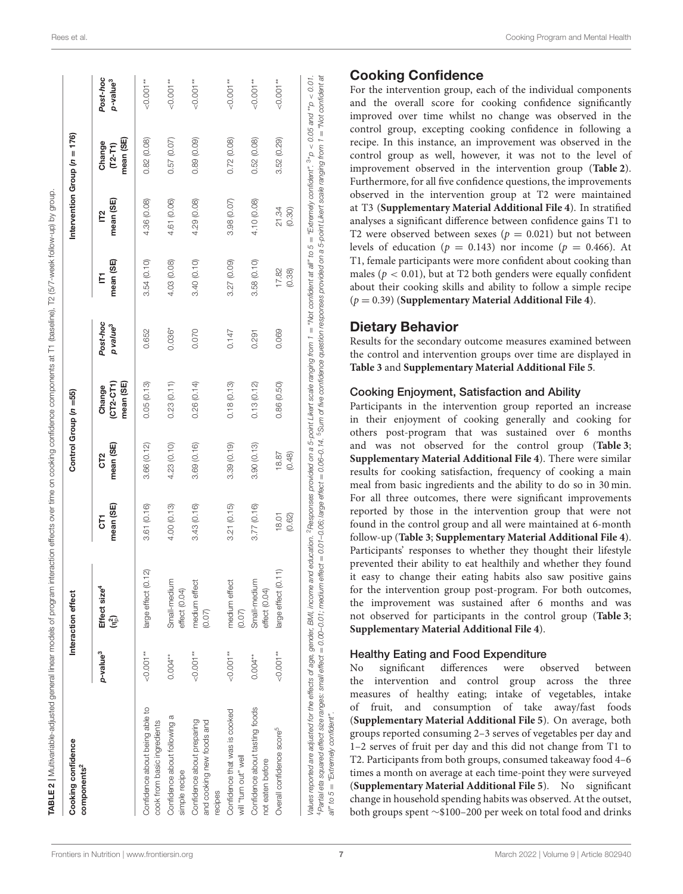| Cooking confidence<br>components <sup>2</sup>                      |                      | Interaction effect                                |                 | Control Group (n =55)        |                                      |                                  |                 | Intervention Group $(n = 176)$ |                                  |                                  |
|--------------------------------------------------------------------|----------------------|---------------------------------------------------|-----------------|------------------------------|--------------------------------------|----------------------------------|-----------------|--------------------------------|----------------------------------|----------------------------------|
|                                                                    | p-value <sup>3</sup> | Effect size <sup>4</sup><br>$(n_{{\mathbb D}}^2)$ | mean (SE)<br>5  | mean (SE)<br>CT <sub>2</sub> | mean (SE)<br>$(CT2 - CT1)$<br>Change | Post-hoc<br>p value <sup>3</sup> | mean (SE)<br>Ě  | mean (SE)<br>Γ2                | mean (SE)<br>Change<br>$(T2-T1)$ | Post-hoc<br>p-value <sup>3</sup> |
| Confidence about being able to<br>cook from basic ingredients      | $-0.001**$           | (0.12)<br>large effect                            | 3.61 (0.16)     | 3.66(0.12)                   | 0.05(0.13)                           | 0.652                            | 3.54(0.10)      | 4.36 (0.08)                    | 0.82(0.08)                       | $< 0.001**$                      |
| Confidence about following a<br>simple recipe                      | $0.004**$            | Small-medium<br>effect (0.04)                     | 4.00 (0.13)     | 4.23 (0.10)                  | 0.23(0.11)                           | $0.036*$                         | 4.03 (0.08)     | (0.06)<br>4.61                 | 0.57(0.07)                       | $< 0.001**$                      |
| Confidence about preparing<br>and cooking new foods and<br>recipes | $-0.001**$           | medium effect<br>(0.07)                           | 3.43(0.16)      | 3.69 (0.16)                  | 0.26(0.14)                           | 0.070                            | 3.40(0.10)      | 4.29 (0.08)                    | 0.89(0.09)                       | $< 0.001**$                      |
| Confidence that was is cooked<br>will "turn out" well              | $-0.001**$           | medium effect<br>(0.07)                           | 3.21(0.15)      | 3.39(0.19)                   | 0.18(0.13)                           | 0.147                            | 3.27 (0.09)     | 3.98 (0.07)                    | 0.72(0.08)                       | $-0.001**$                       |
| Confidence about tasting foods<br>not eaten before                 | $0.004**$            | Small-medium<br>effect (0.04)                     | 3.77(0.16)      | 3.90(0.13)                   | 0.13(0.12)                           | 0.291                            | 3.58(0.10)      | 4.10 (0.08)                    | 0.52(0.08)                       | $< 0.001**$                      |
| Overall confidence score <sup>5</sup>                              | $-0.001**$           | (0.11)<br>large effect                            | 18.01<br>(0.62) | 18.87<br>(0.48)              | 0.86(0.50)                           | 0.069                            | 17.82<br>(0.38) | 21.34<br>(0.30)                | 3.52(0.29)                       | $< 0.001**$                      |

#### Cooking Confidence

For the intervention group, each of the individual components and the overall score for cooking confidence significantly improved over time whilst no change was observed in the control group, excepting cooking confidence in following a recipe. In this instance, an improvement was observed in the control group as well, however, it was not to the level of improvement observed in the intervention group (**[Table 2](#page-8-0)**). Furthermore, for all five confidence questions, the improvements observed in the intervention group at T2 were maintained at T3 (**[Supplementary Material Additional File 4](#page-13-11)**). In stratified analyses a significant difference between confidence gains T1 to T2 were observed between sexes ( $p = 0.021$ ) but not between levels of education ( $p = 0.143$ ) nor income ( $p = 0.466$ ). At T1, female participants were more confident about cooking than males ( $p < 0.01$ ), but at T2 both genders were equally confident about their cooking skills and ability to follow a simple recipe (p = 0.39) (**[Supplementary Material Additional File 4](#page-13-11)**).

#### Dietary Behavior

Results for the secondary outcome measures examined between the control and intervention groups over time are displayed in **[Table 3](#page-10-0)** and **[Supplementary Material Additional File 5](#page-13-11)**.

#### Cooking Enjoyment, Satisfaction and Ability

Participants in the intervention group reported an increase in their enjoyment of cooking generally and cooking for others post-program that was sustained over 6 months and was not observed for the control group (**[Table 3](#page-10-0)**; **[Supplementary Material Additional File 4](#page-13-11)**). There were similar results for cooking satisfaction, frequency of cooking a main meal from basic ingredients and the ability to do so in 30 min. For all three outcomes, there were significant improvements reported by those in the intervention group that were not found in the control group and all were maintained at 6-month follow-up (**[Table 3](#page-10-0)**; **[Supplementary Material Additional File 4](#page-13-11)**). Participants' responses to whether they thought their lifestyle prevented their ability to eat healthily and whether they found it easy to change their eating habits also saw positive gains for the intervention group post-program. For both outcomes, the improvement was sustained after 6 months and was not observed for participants in the control group (**[Table 3](#page-10-0)**; **[Supplementary Material Additional File 4](#page-13-11)**).

#### Healthy Eating and Food Expenditure

No significant differences were observed between the intervention and control group across the three measures of healthy eating; intake of vegetables, intake of fruit, and consumption of take away/fast foods (**[Supplementary Material Additional File 5](#page-13-11)**). On average, both groups reported consuming 2–3 serves of vegetables per day and 1–2 serves of fruit per day and this did not change from T1 to T2. Participants from both groups, consumed takeaway food 4–6 times a month on average at each time-point they were surveyed (**[Supplementary Material Additional File 5](#page-13-11)**). No significant change in household spending habits was observed. At the outset, both groups spent ∼\$100–200 per week on total food and drinks

all" to 5 = "Extremely confident".

<span id="page-8-0"></span> $all''$  to  $5 =$  "Extremely confident".

4Partial eta squared effect size ranges: small effect = 0.00–0.01; medium effect = 0.01–0.06; large effect = 0.06–0.14.

5Sum of five confidence question responses provided on a 5-point Likert scale ranging from 1 = "Not confident at

 $\vec{a}$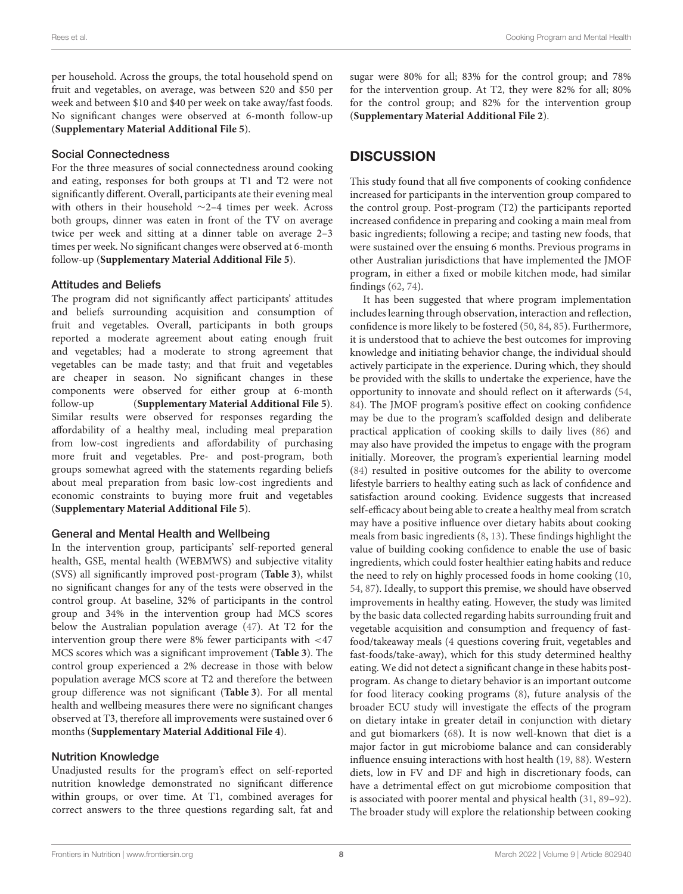per household. Across the groups, the total household spend on fruit and vegetables, on average, was between \$20 and \$50 per week and between \$10 and \$40 per week on take away/fast foods. No significant changes were observed at 6-month follow-up (**[Supplementary Material Additional File 5](#page-13-11)**).

#### Social Connectedness

For the three measures of social connectedness around cooking and eating, responses for both groups at T1 and T2 were not significantly different. Overall, participants ate their evening meal with others in their household ∼2–4 times per week. Across both groups, dinner was eaten in front of the TV on average twice per week and sitting at a dinner table on average 2–3 times per week. No significant changes were observed at 6-month follow-up (**[Supplementary Material Additional File 5](#page-13-11)**).

#### Attitudes and Beliefs

The program did not significantly affect participants' attitudes and beliefs surrounding acquisition and consumption of fruit and vegetables. Overall, participants in both groups reported a moderate agreement about eating enough fruit and vegetables; had a moderate to strong agreement that vegetables can be made tasty; and that fruit and vegetables are cheaper in season. No significant changes in these components were observed for either group at 6-month follow-up (**[Supplementary Material Additional File 5](#page-13-11)**). Similar results were observed for responses regarding the affordability of a healthy meal, including meal preparation from low-cost ingredients and affordability of purchasing more fruit and vegetables. Pre- and post-program, both groups somewhat agreed with the statements regarding beliefs about meal preparation from basic low-cost ingredients and economic constraints to buying more fruit and vegetables (**[Supplementary Material Additional File 5](#page-13-11)**).

#### General and Mental Health and Wellbeing

In the intervention group, participants' self-reported general health, GSE, mental health (WEBMWS) and subjective vitality (SVS) all significantly improved post-program (**[Table 3](#page-10-0)**), whilst no significant changes for any of the tests were observed in the control group. At baseline, 32% of participants in the control group and 34% in the intervention group had MCS scores below the Australian population average [\(47\)](#page-14-28). At T2 for the intervention group there were 8% fewer participants with <47 MCS scores which was a significant improvement (**[Table 3](#page-10-0)**). The control group experienced a 2% decrease in those with below population average MCS score at T2 and therefore the between group difference was not significant (**[Table 3](#page-10-0)**). For all mental health and wellbeing measures there were no significant changes observed at T3, therefore all improvements were sustained over 6 months (**[Supplementary Material Additional File 4](#page-13-11)**).

#### Nutrition Knowledge

Unadjusted results for the program's effect on self-reported nutrition knowledge demonstrated no significant difference within groups, or over time. At T1, combined averages for correct answers to the three questions regarding salt, fat and sugar were 80% for all; 83% for the control group; and 78% for the intervention group. At T2, they were 82% for all; 80% for the control group; and 82% for the intervention group (**[Supplementary Material Additional File 2](#page-13-11)**).

## **DISCUSSION**

This study found that all five components of cooking confidence increased for participants in the intervention group compared to the control group. Post-program (T2) the participants reported increased confidence in preparing and cooking a main meal from basic ingredients; following a recipe; and tasting new foods, that were sustained over the ensuing 6 months. Previous programs in other Australian jurisdictions that have implemented the JMOF program, in either a fixed or mobile kitchen mode, had similar findings [\(62,](#page-15-8) [74\)](#page-15-19).

It has been suggested that where program implementation includes learning through observation, interaction and reflection, confidence is more likely to be fostered [\(50,](#page-14-31) [84,](#page-15-29) [85\)](#page-15-30). Furthermore, it is understood that to achieve the best outcomes for improving knowledge and initiating behavior change, the individual should actively participate in the experience. During which, they should be provided with the skills to undertake the experience, have the opportunity to innovate and should reflect on it afterwards [\(54,](#page-15-1) [84\)](#page-15-29). The JMOF program's positive effect on cooking confidence may be due to the program's scaffolded design and deliberate practical application of cooking skills to daily lives [\(86\)](#page-15-31) and may also have provided the impetus to engage with the program initially. Moreover, the program's experiential learning model [\(84\)](#page-15-29) resulted in positive outcomes for the ability to overcome lifestyle barriers to healthy eating such as lack of confidence and satisfaction around cooking. Evidence suggests that increased self-efficacy about being able to create a healthy meal from scratch may have a positive influence over dietary habits about cooking meals from basic ingredients [\(8,](#page-13-6) [13\)](#page-13-8). These findings highlight the value of building cooking confidence to enable the use of basic ingredients, which could foster healthier eating habits and reduce the need to rely on highly processed foods in home cooking [\(10,](#page-13-7) [54,](#page-15-1) [87\)](#page-15-32). Ideally, to support this premise, we should have observed improvements in healthy eating. However, the study was limited by the basic data collected regarding habits surrounding fruit and vegetable acquisition and consumption and frequency of fastfood/takeaway meals (4 questions covering fruit, vegetables and fast-foods/take-away), which for this study determined healthy eating. We did not detect a significant change in these habits postprogram. As change to dietary behavior is an important outcome for food literacy cooking programs [\(8\)](#page-13-6), future analysis of the broader ECU study will investigate the effects of the program on dietary intake in greater detail in conjunction with dietary and gut biomarkers [\(68\)](#page-15-13). It is now well-known that diet is a major factor in gut microbiome balance and can considerably influence ensuing interactions with host health [\(19,](#page-14-4) [88\)](#page-15-33). Western diets, low in FV and DF and high in discretionary foods, can have a detrimental effect on gut microbiome composition that is associated with poorer mental and physical health [\(31,](#page-14-32) [89–](#page-15-34)[92\)](#page-15-35). The broader study will explore the relationship between cooking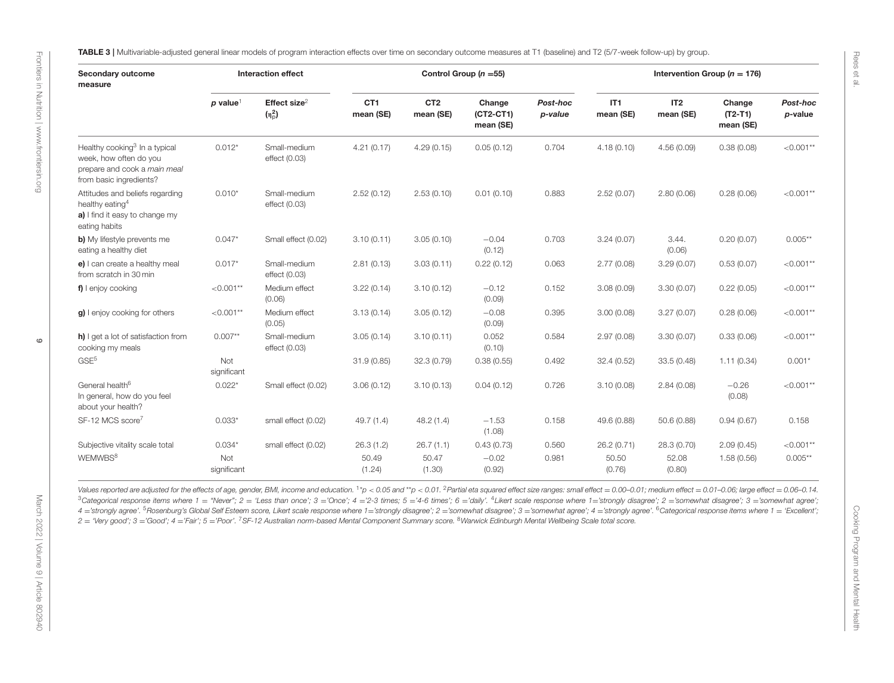<span id="page-10-0"></span>

| Secondary outcome<br><b>Interaction effect</b><br>measure                                                                      |                        |                               | Control Group ( $n = 55$ )   |                              |                                    | Intervention Group ( $n = 176$ ) |                              |                              |                                  |                        |
|--------------------------------------------------------------------------------------------------------------------------------|------------------------|-------------------------------|------------------------------|------------------------------|------------------------------------|----------------------------------|------------------------------|------------------------------|----------------------------------|------------------------|
|                                                                                                                                | $p$ value <sup>1</sup> | Effect size $2$<br>$(n_p^2)$  | CT <sub>1</sub><br>mean (SE) | CT <sub>2</sub><br>mean (SE) | Change<br>$(CT2-CT1)$<br>mean (SE) | Post-hoc<br>p-value              | IT <sub>1</sub><br>mean (SE) | IT <sub>2</sub><br>mean (SE) | Change<br>$(T2-T1)$<br>mean (SE) | Post-hoc<br>$p$ -value |
| Healthy cooking <sup>3</sup> In a typical<br>week, how often do you<br>prepare and cook a main meal<br>from basic ingredients? | $0.012*$               | Small-medium<br>effect (0.03) | 4.21(0.17)                   | 4.29(0.15)                   | 0.05(0.12)                         | 0.704                            | 4.18(0.10)                   | 4.56(0.09)                   | 0.38(0.08)                       | ${<}0.001**$           |
| Attitudes and beliefs regarding<br>healthy eating <sup>4</sup><br>a) I find it easy to change my<br>eating habits              | $0.010*$               | Small-medium<br>effect (0.03) | 2.52(0.12)                   | 2.53(0.10)                   | 0.01(0.10)                         | 0.883                            | 2.52(0.07)                   | 2.80(0.06)                   | 0.28(0.06)                       | ${<}0.001**$           |
| b) My lifestyle prevents me<br>eating a healthy diet                                                                           | $0.047*$               | Small effect (0.02)           | 3.10(0.11)                   | 3.05(0.10)                   | $-0.04$<br>(0.12)                  | 0.703                            | 3.24(0.07)                   | 3.44.<br>(0.06)              | 0.20(0.07)                       | $0.005**$              |
| e) I can create a healthy meal<br>from scratch in 30 min                                                                       | $0.017*$               | Small-medium<br>effect (0.03) | 2.81(0.13)                   | 3.03(0.11)                   | 0.22(0.12)                         | 0.063                            | 2.77(0.08)                   | 3.29(0.07)                   | 0.53(0.07)                       | $< 0.001**$            |
| f) I enjoy cooking                                                                                                             | $< 0.001**$            | Medium effect<br>(0.06)       | 3.22(0.14)                   | 3.10(0.12)                   | $-0.12$<br>(0.09)                  | 0.152                            | 3.08(0.09)                   | 3.30(0.07)                   | 0.22(0.05)                       | $< 0.001**$            |
| g) I enjoy cooking for others                                                                                                  | ${<}0.001**$           | Medium effect<br>(0.05)       | 3.13(0.14)                   | 3.05(0.12)                   | $-0.08$<br>(0.09)                  | 0.395                            | 3.00(0.08)                   | 3.27(0.07)                   | 0.28(0.06)                       | ${<}0.001**$           |
| h) I get a lot of satisfaction from<br>cooking my meals                                                                        | $0.007**$              | Small-medium<br>effect (0.03) | 3.05(0.14)                   | 3.10(0.11)                   | 0.052<br>(0.10)                    | 0.584                            | 2.97(0.08)                   | 3.30(0.07)                   | 0.33(0.06)                       | ${<}0.001**$           |
| GSE <sup>5</sup>                                                                                                               | Not<br>significant     |                               | 31.9(0.85)                   | 32.3(0.79)                   | 0.38(0.55)                         | 0.492                            | 32.4(0.52)                   | 33.5(0.48)                   | 1.11(0.34)                       | $0.001*$               |
| General health <sup>6</sup><br>In general, how do you feel<br>about your health?                                               | $0.022*$               | Small effect (0.02)           | 3.06(0.12)                   | 3.10(0.13)                   | 0.04(0.12)                         | 0.726                            | 3.10(0.08)                   | 2.84(0.08)                   | $-0.26$<br>(0.08)                | $< 0.001**$            |
| SF-12 MCS score <sup>7</sup>                                                                                                   | $0.033*$               | small effect (0.02)           | 49.7(1.4)                    | 48.2(1.4)                    | $-1.53$<br>(1.08)                  | 0.158                            | 49.6 (0.88)                  | 50.6 (0.88)                  | 0.94(0.67)                       | 0.158                  |
| Subjective vitality scale total                                                                                                | $0.034*$               | small effect (0.02)           | 26.3(1.2)                    | 26.7(1.1)                    | 0.43(0.73)                         | 0.560                            | 26.2 (0.71)                  | 28.3 (0.70)                  | 2.09(0.45)                       | ${<}0.001**$           |
| WEMWBS <sup>8</sup>                                                                                                            | Not<br>significant     |                               | 50.49<br>(1.24)              | 50.47<br>(1.30)              | $-0.02$<br>(0.92)                  | 0.981                            | 50.50<br>(0.76)              | 52.08<br>(0.80)              | 1.58(0.56)                       | $0.005**$              |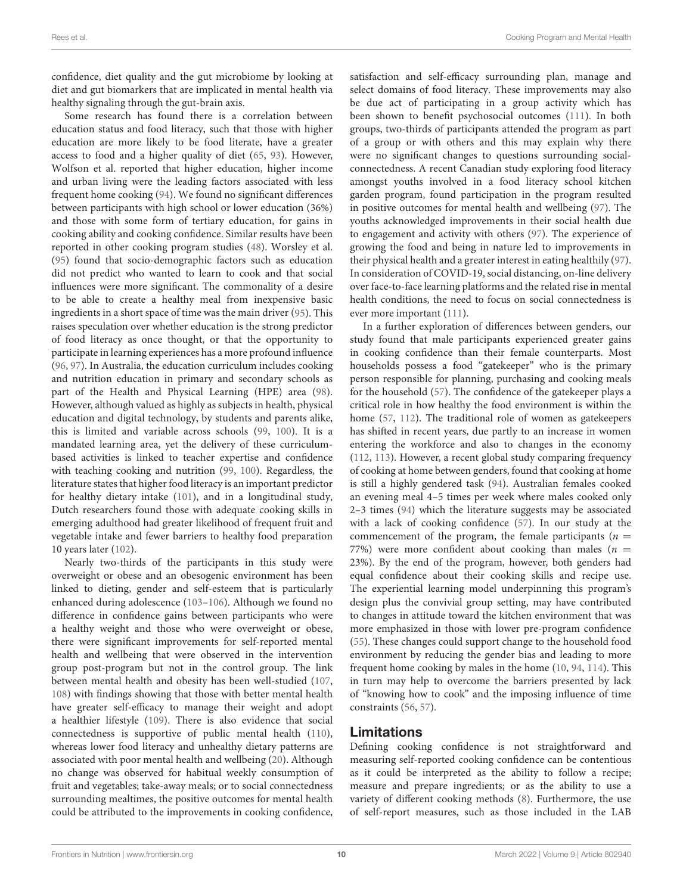confidence, diet quality and the gut microbiome by looking at diet and gut biomarkers that are implicated in mental health via healthy signaling through the gut-brain axis.

Some research has found there is a correlation between education status and food literacy, such that those with higher education are more likely to be food literate, have a greater access to food and a higher quality of diet [\(65,](#page-15-36) [93\)](#page-15-37). However, Wolfson et al. reported that higher education, higher income and urban living were the leading factors associated with less frequent home cooking [\(94\)](#page-15-38). We found no significant differences between participants with high school or lower education (36%) and those with some form of tertiary education, for gains in cooking ability and cooking confidence. Similar results have been reported in other cooking program studies [\(48\)](#page-14-29). Worsley et al. [\(95\)](#page-15-39) found that socio-demographic factors such as education did not predict who wanted to learn to cook and that social influences were more significant. The commonality of a desire to be able to create a healthy meal from inexpensive basic ingredients in a short space of time was the main driver [\(95\)](#page-15-39). This raises speculation over whether education is the strong predictor of food literacy as once thought, or that the opportunity to participate in learning experiences has a more profound influence [\(96,](#page-16-0) [97\)](#page-16-1). In Australia, the education curriculum includes cooking and nutrition education in primary and secondary schools as part of the Health and Physical Learning (HPE) area [\(98\)](#page-16-2). However, although valued as highly as subjects in health, physical education and digital technology, by students and parents alike, this is limited and variable across schools [\(99,](#page-16-3) [100\)](#page-16-4). It is a mandated learning area, yet the delivery of these curriculumbased activities is linked to teacher expertise and confidence with teaching cooking and nutrition [\(99,](#page-16-3) [100\)](#page-16-4). Regardless, the literature states that higher food literacy is an important predictor for healthy dietary intake [\(101\)](#page-16-5), and in a longitudinal study, Dutch researchers found those with adequate cooking skills in emerging adulthood had greater likelihood of frequent fruit and vegetable intake and fewer barriers to healthy food preparation 10 years later [\(102\)](#page-16-6).

Nearly two-thirds of the participants in this study were overweight or obese and an obesogenic environment has been linked to dieting, gender and self-esteem that is particularly enhanced during adolescence [\(103–](#page-16-7)[106\)](#page-16-8). Although we found no difference in confidence gains between participants who were a healthy weight and those who were overweight or obese, there were significant improvements for self-reported mental health and wellbeing that were observed in the intervention group post-program but not in the control group. The link between mental health and obesity has been well-studied [\(107,](#page-16-9) [108\)](#page-16-10) with findings showing that those with better mental health have greater self-efficacy to manage their weight and adopt a healthier lifestyle [\(109\)](#page-16-11). There is also evidence that social connectedness is supportive of public mental health [\(110\)](#page-16-12), whereas lower food literacy and unhealthy dietary patterns are associated with poor mental health and wellbeing [\(20\)](#page-14-10). Although no change was observed for habitual weekly consumption of fruit and vegetables; take-away meals; or to social connectedness surrounding mealtimes, the positive outcomes for mental health could be attributed to the improvements in cooking confidence, satisfaction and self-efficacy surrounding plan, manage and select domains of food literacy. These improvements may also be due act of participating in a group activity which has been shown to benefit psychosocial outcomes [\(111\)](#page-16-13). In both groups, two-thirds of participants attended the program as part of a group or with others and this may explain why there were no significant changes to questions surrounding socialconnectedness. A recent Canadian study exploring food literacy amongst youths involved in a food literacy school kitchen garden program, found participation in the program resulted in positive outcomes for mental health and wellbeing [\(97\)](#page-16-1). The youths acknowledged improvements in their social health due to engagement and activity with others [\(97\)](#page-16-1). The experience of growing the food and being in nature led to improvements in their physical health and a greater interest in eating healthily [\(97\)](#page-16-1). In consideration of COVID-19, social distancing, on-line delivery over face-to-face learning platforms and the related rise in mental health conditions, the need to focus on social connectedness is ever more important [\(111\)](#page-16-13).

In a further exploration of differences between genders, our study found that male participants experienced greater gains in cooking confidence than their female counterparts. Most households possess a food "gatekeeper" who is the primary person responsible for planning, purchasing and cooking meals for the household [\(57\)](#page-15-4). The confidence of the gatekeeper plays a critical role in how healthy the food environment is within the home [\(57,](#page-15-4) [112\)](#page-16-14). The traditional role of women as gatekeepers has shifted in recent years, due partly to an increase in women entering the workforce and also to changes in the economy [\(112,](#page-16-14) [113\)](#page-16-15). However, a recent global study comparing frequency of cooking at home between genders, found that cooking at home is still a highly gendered task [\(94\)](#page-15-38). Australian females cooked an evening meal 4–5 times per week where males cooked only 2–3 times [\(94\)](#page-15-38) which the literature suggests may be associated with a lack of cooking confidence [\(57\)](#page-15-4). In our study at the commencement of the program, the female participants ( $n =$ 77%) were more confident about cooking than males ( $n =$ 23%). By the end of the program, however, both genders had equal confidence about their cooking skills and recipe use. The experiential learning model underpinning this program's design plus the convivial group setting, may have contributed to changes in attitude toward the kitchen environment that was more emphasized in those with lower pre-program confidence [\(55\)](#page-15-2). These changes could support change to the household food environment by reducing the gender bias and leading to more frequent home cooking by males in the home [\(10,](#page-13-7) [94,](#page-15-38) [114\)](#page-16-16). This in turn may help to overcome the barriers presented by lack of "knowing how to cook" and the imposing influence of time constraints [\(56,](#page-15-3) [57\)](#page-15-4).

#### Limitations

Defining cooking confidence is not straightforward and measuring self-reported cooking confidence can be contentious as it could be interpreted as the ability to follow a recipe; measure and prepare ingredients; or as the ability to use a variety of different cooking methods [\(8\)](#page-13-6). Furthermore, the use of self-report measures, such as those included in the LAB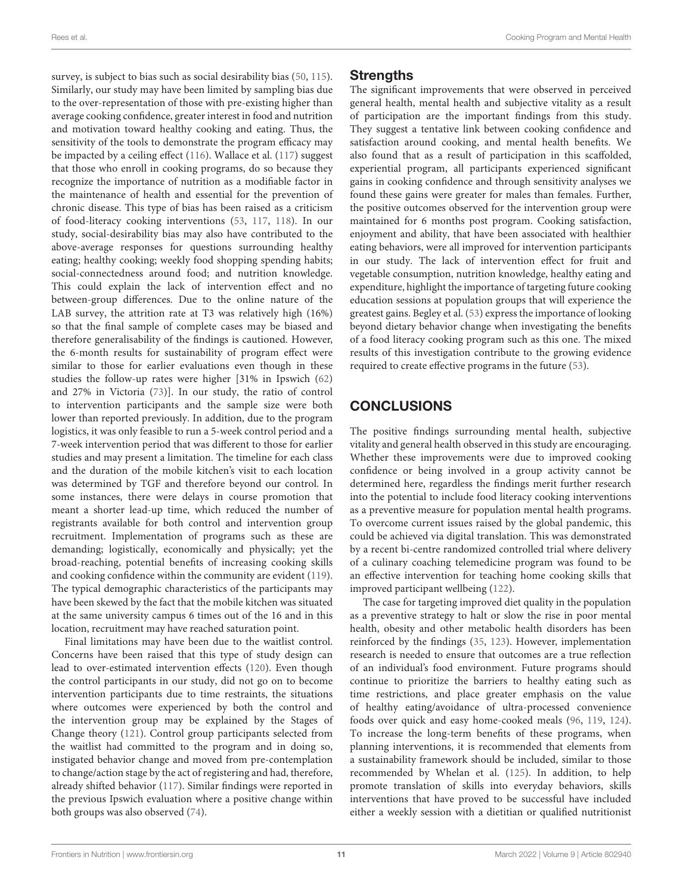survey, is subject to bias such as social desirability bias [\(50,](#page-14-31) [115\)](#page-16-17). Similarly, our study may have been limited by sampling bias due to the over-representation of those with pre-existing higher than average cooking confidence, greater interest in food and nutrition and motivation toward healthy cooking and eating. Thus, the sensitivity of the tools to demonstrate the program efficacy may be impacted by a ceiling effect [\(116\)](#page-16-18). Wallace et al. [\(117\)](#page-16-19) suggest that those who enroll in cooking programs, do so because they recognize the importance of nutrition as a modifiable factor in the maintenance of health and essential for the prevention of chronic disease. This type of bias has been raised as a criticism of food-literacy cooking interventions [\(53,](#page-15-0) [117,](#page-16-19) [118\)](#page-16-20). In our study, social-desirability bias may also have contributed to the above-average responses for questions surrounding healthy eating; healthy cooking; weekly food shopping spending habits; social-connectedness around food; and nutrition knowledge. This could explain the lack of intervention effect and no between-group differences. Due to the online nature of the LAB survey, the attrition rate at T3 was relatively high (16%) so that the final sample of complete cases may be biased and therefore generalisability of the findings is cautioned. However, the 6-month results for sustainability of program effect were similar to those for earlier evaluations even though in these studies the follow-up rates were higher [31% in Ipswich [\(62\)](#page-15-8) and 27% in Victoria [\(73\)](#page-15-18)]. In our study, the ratio of control to intervention participants and the sample size were both lower than reported previously. In addition, due to the program logistics, it was only feasible to run a 5-week control period and a 7-week intervention period that was different to those for earlier studies and may present a limitation. The timeline for each class and the duration of the mobile kitchen's visit to each location was determined by TGF and therefore beyond our control. In some instances, there were delays in course promotion that meant a shorter lead-up time, which reduced the number of registrants available for both control and intervention group recruitment. Implementation of programs such as these are demanding; logistically, economically and physically; yet the broad-reaching, potential benefits of increasing cooking skills and cooking confidence within the community are evident [\(119\)](#page-16-21). The typical demographic characteristics of the participants may have been skewed by the fact that the mobile kitchen was situated at the same university campus 6 times out of the 16 and in this location, recruitment may have reached saturation point.

Final limitations may have been due to the waitlist control. Concerns have been raised that this type of study design can lead to over-estimated intervention effects [\(120\)](#page-16-22). Even though the control participants in our study, did not go on to become intervention participants due to time restraints, the situations where outcomes were experienced by both the control and the intervention group may be explained by the Stages of Change theory [\(121\)](#page-16-23). Control group participants selected from the waitlist had committed to the program and in doing so, instigated behavior change and moved from pre-contemplation to change/action stage by the act of registering and had, therefore, already shifted behavior [\(117\)](#page-16-19). Similar findings were reported in the previous Ipswich evaluation where a positive change within both groups was also observed [\(74\)](#page-15-19).

### **Strengths**

The significant improvements that were observed in perceived general health, mental health and subjective vitality as a result of participation are the important findings from this study. They suggest a tentative link between cooking confidence and satisfaction around cooking, and mental health benefits. We also found that as a result of participation in this scaffolded, experiential program, all participants experienced significant gains in cooking confidence and through sensitivity analyses we found these gains were greater for males than females. Further, the positive outcomes observed for the intervention group were maintained for 6 months post program. Cooking satisfaction, enjoyment and ability, that have been associated with healthier eating behaviors, were all improved for intervention participants in our study. The lack of intervention effect for fruit and vegetable consumption, nutrition knowledge, healthy eating and expenditure, highlight the importance of targeting future cooking education sessions at population groups that will experience the greatest gains. Begley et al. [\(53\)](#page-15-0) express the importance of looking beyond dietary behavior change when investigating the benefits of a food literacy cooking program such as this one. The mixed results of this investigation contribute to the growing evidence required to create effective programs in the future [\(53\)](#page-15-0).

## **CONCLUSIONS**

The positive findings surrounding mental health, subjective vitality and general health observed in this study are encouraging. Whether these improvements were due to improved cooking confidence or being involved in a group activity cannot be determined here, regardless the findings merit further research into the potential to include food literacy cooking interventions as a preventive measure for population mental health programs. To overcome current issues raised by the global pandemic, this could be achieved via digital translation. This was demonstrated by a recent bi-centre randomized controlled trial where delivery of a culinary coaching telemedicine program was found to be an effective intervention for teaching home cooking skills that improved participant wellbeing [\(122\)](#page-16-24).

The case for targeting improved diet quality in the population as a preventive strategy to halt or slow the rise in poor mental health, obesity and other metabolic health disorders has been reinforced by the findings [\(35,](#page-14-15) [123\)](#page-16-25). However, implementation research is needed to ensure that outcomes are a true reflection of an individual's food environment. Future programs should continue to prioritize the barriers to healthy eating such as time restrictions, and place greater emphasis on the value of healthy eating/avoidance of ultra-processed convenience foods over quick and easy home-cooked meals [\(96,](#page-16-0) [119,](#page-16-21) [124\)](#page-16-26). To increase the long-term benefits of these programs, when planning interventions, it is recommended that elements from a sustainability framework should be included, similar to those recommended by Whelan et al. [\(125\)](#page-16-27). In addition, to help promote translation of skills into everyday behaviors, skills interventions that have proved to be successful have included either a weekly session with a dietitian or qualified nutritionist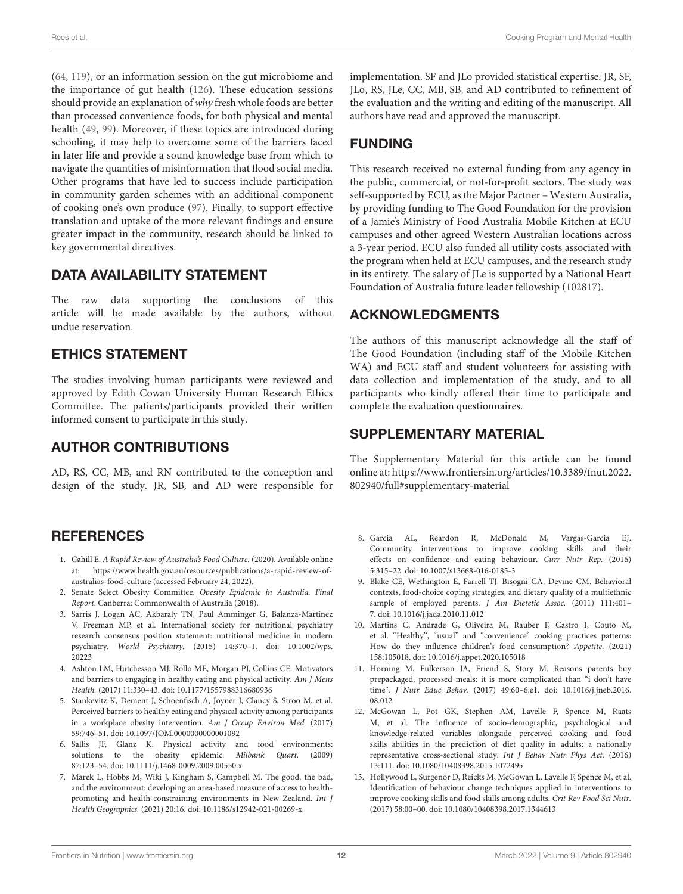[\(64,](#page-15-10) [119\)](#page-16-21), or an information session on the gut microbiome and the importance of gut health [\(126\)](#page-16-28). These education sessions should provide an explanation of why fresh whole foods are better than processed convenience foods, for both physical and mental health [\(49,](#page-14-30) [99\)](#page-16-3). Moreover, if these topics are introduced during schooling, it may help to overcome some of the barriers faced in later life and provide a sound knowledge base from which to navigate the quantities of misinformation that flood social media. Other programs that have led to success include participation in community garden schemes with an additional component of cooking one's own produce [\(97\)](#page-16-1). Finally, to support effective translation and uptake of the more relevant findings and ensure greater impact in the community, research should be linked to key governmental directives.

## DATA AVAILABILITY STATEMENT

The raw data supporting the conclusions of this article will be made available by the authors, without undue reservation.

## ETHICS STATEMENT

The studies involving human participants were reviewed and approved by Edith Cowan University Human Research Ethics Committee. The patients/participants provided their written informed consent to participate in this study.

## AUTHOR CONTRIBUTIONS

AD, RS, CC, MB, and RN contributed to the conception and design of the study. JR, SB, and AD were responsible for

## **REFERENCES**

- <span id="page-13-0"></span>1. Cahill E. A Rapid Review of Australia's Food Culture. (2020). Available online at: [https://www.health.gov.au/resources/publications/a-rapid-review-of](https://www.health.gov.au/resources/publications/a-rapid-review-of-australias-food-culture)[australias-food-culture](https://www.health.gov.au/resources/publications/a-rapid-review-of-australias-food-culture) (accessed February 24, 2022).
- <span id="page-13-1"></span>2. Senate Select Obesity Committee. Obesity Epidemic in Australia. Final Report. Canberra: Commonwealth of Australia (2018).
- <span id="page-13-2"></span>3. Sarris J, Logan AC, Akbaraly TN, Paul Amminger G, Balanza-Martinez V, Freeman MP, et al. International society for nutritional psychiatry research consensus position statement: nutritional medicine in modern psychiatry. World Psychiatry. [\(2015\) 14:370–1. doi: 10.1002/wps.](https://doi.org/10.1002/wps.20223) 20223
- <span id="page-13-3"></span>4. Ashton LM, Hutchesson MJ, Rollo ME, Morgan PJ, Collins CE. Motivators and barriers to engaging in healthy eating and physical activity. Am J Mens Health. (2017) 11:330–43. doi: [10.1177/1557988316680936](https://doi.org/10.1177/1557988316680936)
- 5. Stankevitz K, Dement J, Schoenfisch A, Joyner J, Clancy S, Stroo M, et al. Perceived barriers to healthy eating and physical activity among participants in a workplace obesity intervention. Am J Occup Environ Med. (2017) 59:746–51. doi: [10.1097/JOM.0000000000001092](https://doi.org/10.1097/JOM.0000000000001092)
- <span id="page-13-4"></span>6. Sallis JF, Glanz K. Physical activity and food environments: solutions to the obesity epidemic. Milbank Quart. (2009) 87:123–54. doi: [10.1111/j.1468-0009.2009.00550.x](https://doi.org/10.1111/j.1468-0009.2009.00550.x)
- <span id="page-13-5"></span>7. Marek L, Hobbs M, Wiki J, Kingham S, Campbell M. The good, the bad, and the environment: developing an area-based measure of access to healthpromoting and health-constraining environments in New Zealand. Int J Health Geographics. (2021) 20:16. doi: [10.1186/s12942-021-00269-x](https://doi.org/10.1186/s12942-021-00269-x)

implementation. SF and JLo provided statistical expertise. JR, SF, JLo, RS, JLe, CC, MB, SB, and AD contributed to refinement of the evaluation and the writing and editing of the manuscript. All authors have read and approved the manuscript.

# FUNDING

This research received no external funding from any agency in the public, commercial, or not-for-profit sectors. The study was self-supported by ECU, as the Major Partner – Western Australia, by providing funding to The Good Foundation for the provision of a Jamie's Ministry of Food Australia Mobile Kitchen at ECU campuses and other agreed Western Australian locations across a 3-year period. ECU also funded all utility costs associated with the program when held at ECU campuses, and the research study in its entirety. The salary of JLe is supported by a National Heart Foundation of Australia future leader fellowship (102817).

## ACKNOWLEDGMENTS

The authors of this manuscript acknowledge all the staff of The Good Foundation (including staff of the Mobile Kitchen WA) and ECU staff and student volunteers for assisting with data collection and implementation of the study, and to all participants who kindly offered their time to participate and complete the evaluation questionnaires.

## SUPPLEMENTARY MATERIAL

<span id="page-13-11"></span>The Supplementary Material for this article can be found [online at: https://www.frontiersin.org/articles/10.3389/fnut.2022.](https://www.frontiersin.org/articles/10.3389/fnut.2022.802940/full#supplementary-material) 802940/full#supplementary-material

- <span id="page-13-6"></span>8. Garcia AL, Reardon R, McDonald M, Vargas-Garcia EJ. Community interventions to improve cooking skills and their effects on confidence and eating behaviour. Curr Nutr Rep. (2016) 5:315–22. doi: [10.1007/s13668-016-0185-3](https://doi.org/10.1007/s13668-016-0185-3)
- 9. Blake CE, Wethington E, Farrell TJ, Bisogni CA, Devine CM. Behavioral contexts, food-choice coping strategies, and dietary quality of a multiethnic sample of employed parents. J Am Dietetic Assoc. (2011) 111:401– 7. doi: [10.1016/j.jada.2010.11.012](https://doi.org/10.1016/j.jada.2010.11.012)
- <span id="page-13-7"></span>10. Martins C, Andrade G, Oliveira M, Rauber F, Castro I, Couto M, et al. "Healthy", "usual" and "convenience" cooking practices patterns: How do they influence children's food consumption? Appetite. (2021) 158:105018. doi: [10.1016/j.appet.2020.105018](https://doi.org/10.1016/j.appet.2020.105018)
- <span id="page-13-9"></span>11. Horning M, Fulkerson JA, Friend S, Story M. Reasons parents buy prepackaged, processed meals: it is more complicated than "i don't have time". J Nutr Educ Behav. [\(2017\) 49:60–6.e1. doi: 10.1016/j.jneb.2016.](https://doi.org/10.1016/j.jneb.2016.08.012) 08.012
- <span id="page-13-10"></span>12. McGowan L, Pot GK, Stephen AM, Lavelle F, Spence M, Raats M, et al. The influence of socio-demographic, psychological and knowledge-related variables alongside perceived cooking and food skills abilities in the prediction of diet quality in adults: a nationally representative cross-sectional study. Int J Behav Nutr Phys Act. (2016) 13:111. doi: [10.1080/10408398.2015.1072495](https://doi.org/10.1080/10408398.2015.1072495)
- <span id="page-13-8"></span>13. Hollywood L, Surgenor D, Reicks M, McGowan L, Lavelle F, Spence M, et al. Identification of behaviour change techniques applied in interventions to improve cooking skills and food skills among adults. Crit Rev Food Sci Nutr. (2017) 58:00–00. doi: [10.1080/10408398.2017.1344613](https://doi.org/10.1080/10408398.2017.1344613)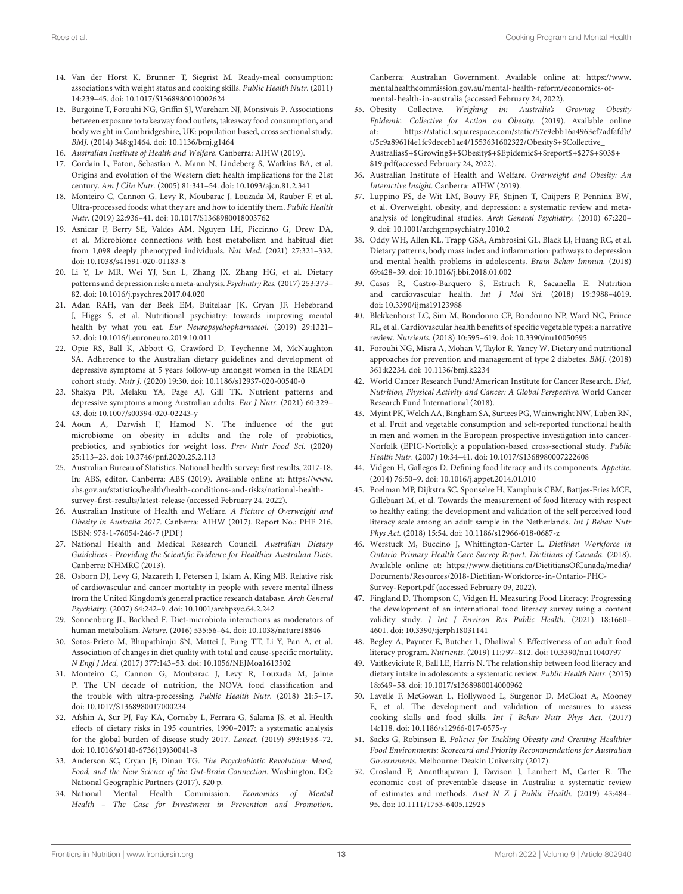- <span id="page-14-0"></span>14. Van der Horst K, Brunner T, Siegrist M. Ready-meal consumption: associations with weight status and cooking skills. Public Health Nutr. (2011) 14:239–45. doi: [10.1017/S1368980010002624](https://doi.org/10.1017/S1368980010002624)
- <span id="page-14-1"></span>15. Burgoine T, Forouhi NG, Griffin SJ, Wareham NJ, Monsivais P. Associations between exposure to takeaway food outlets, takeaway food consumption, and body weight in Cambridgeshire, UK: population based, cross sectional study. BMJ. (2014) 348:g1464. doi: [10.1136/bmj.g1464](https://doi.org/10.1136/bmj.g1464)
- <span id="page-14-2"></span>16. Australian Institute of Health and Welfare. Canberra: AIHW (2019).
- <span id="page-14-5"></span>17. Cordain L, Eaton, Sebastian A, Mann N, Lindeberg S, Watkins BA, et al. Origins and evolution of the Western diet: health implications for the 21st century. Am J Clin Nutr. (2005) 81:341–54. doi: [10.1093/ajcn.81.2.341](https://doi.org/10.1093/ajcn.81.2.341)
- <span id="page-14-3"></span>18. Monteiro C, Cannon G, Levy R, Moubarac J, Louzada M, Rauber F, et al. Ultra-processed foods: what they are and how to identify them. Public Health Nutr. (2019) 22:936–41. doi: [10.1017/S1368980018003762](https://doi.org/10.1017/S1368980018003762)
- <span id="page-14-4"></span>19. Asnicar F, Berry SE, Valdes AM, Nguyen LH, Piccinno G, Drew DA, et al. Microbiome connections with host metabolism and habitual diet from 1,098 deeply phenotyped individuals. Nat Med. (2021) 27:321–332. doi: [10.1038/s41591-020-01183-8](https://doi.org/10.1038/s41591-020-01183-8)
- <span id="page-14-10"></span>20. Li Y, Lv MR, Wei YJ, Sun L, Zhang JX, Zhang HG, et al. Dietary patterns and depression risk: a meta-analysis. Psychiatry Res. (2017) 253:373– 82. doi: [10.1016/j.psychres.2017.04.020](https://doi.org/10.1016/j.psychres.2017.04.020)
- <span id="page-14-17"></span>21. Adan RAH, van der Beek EM, Buitelaar JK, Cryan JF, Hebebrand J, Higgs S, et al. Nutritional psychiatry: towards improving mental health by what you eat. Eur Neuropsychopharmacol. (2019) 29:1321– 32. doi: [10.1016/j.euroneuro.2019.10.011](https://doi.org/10.1016/j.euroneuro.2019.10.011)
- <span id="page-14-11"></span>22. Opie RS, Ball K, Abbott G, Crawford D, Teychenne M, McNaughton SA. Adherence to the Australian dietary guidelines and development of depressive symptoms at 5 years follow-up amongst women in the READI cohort study. Nutr J. (2020) 19:30. doi: [10.1186/s12937-020-00540-0](https://doi.org/10.1186/s12937-020-00540-0)
- 23. Shakya PR, Melaku YA, Page AJ, Gill TK. Nutrient patterns and depressive symptoms among Australian adults. Eur J Nutr. (2021) 60:329– 43. doi: [10.1007/s00394-020-02243-y](https://doi.org/10.1007/s00394-020-02243-y)
- <span id="page-14-6"></span>24. Aoun A, Darwish F, Hamod N. The influence of the gut microbiome on obesity in adults and the role of probiotics, prebiotics, and synbiotics for weight loss. Prev Nutr Food Sci. (2020) 25:113–23. doi: [10.3746/pnf.2020.25.2.113](https://doi.org/10.3746/pnf.2020.25.2.113)
- <span id="page-14-7"></span>25. Australian Bureau of Statistics. National health survey: first results, 2017-18. In: ABS, editor. Canberra: ABS (2019). Available online at: [https://www.](https://www.abs.gov.au/statistics/health/health-conditions-and-risks/national-health-survey-first-results/latest-release) [abs.gov.au/statistics/health/health-conditions-and-risks/national-health](https://www.abs.gov.au/statistics/health/health-conditions-and-risks/national-health-survey-first-results/latest-release)[survey-first-results/latest-release](https://www.abs.gov.au/statistics/health/health-conditions-and-risks/national-health-survey-first-results/latest-release) (accessed February 24, 2022).
- <span id="page-14-8"></span>26. Australian Institute of Health and Welfare. A Picture of Overweight and Obesity in Australia 2017. Canberra: AIHW (2017). Report No.: PHE 216. ISBN: 978-1-76054-246-7 (PDF)
- <span id="page-14-9"></span>27. National Health and Medical Research Council. Australian Dietary Guidelines - Providing the Scientific Evidence for Healthier Australian Diets. Canberra: NHMRC (2013).
- <span id="page-14-12"></span>28. Osborn DJ, Levy G, Nazareth I, Petersen I, Islam A, King MB. Relative risk of cardiovascular and cancer mortality in people with severe mental illness from the United Kingdom's general practice research database. Arch General Psychiatry. (2007) 64:242–9. doi: [10.1001/archpsyc.64.2.242](https://doi.org/10.1001/archpsyc.64.2.242)
- 29. Sonnenburg JL, Backhed F. Diet-microbiota interactions as moderators of human metabolism. Nature. (2016) 535:56–64. doi: [10.1038/nature18846](https://doi.org/10.1038/nature18846)
- 30. Sotos-Prieto M, Bhupathiraju SN, Mattei J, Fung TT, Li Y, Pan A, et al. Association of changes in diet quality with total and cause-specific mortality. N Engl J Med. (2017) 377:143–53. doi: [10.1056/NEJMoa1613502](https://doi.org/10.1056/NEJMoa1613502)
- <span id="page-14-32"></span>31. Monteiro C, Cannon G, Moubarac J, Levy R, Louzada M, Jaime P. The UN decade of nutrition, the NOVA food classification and the trouble with ultra-processing. Public Health Nutr. (2018) 21:5–17. doi: [10.1017/S1368980017000234](https://doi.org/10.1017/S1368980017000234)
- <span id="page-14-23"></span>32. Afshin A, Sur PJ, Fay KA, Cornaby L, Ferrara G, Salama JS, et al. Health effects of dietary risks in 195 countries, 1990–2017: a systematic analysis for the global burden of disease study 2017. Lancet. (2019) 393:1958–72. doi: [10.1016/s0140-6736\(19\)30041-8](https://doi.org/10.1016/s0140-6736(19)30041-8)
- <span id="page-14-13"></span>33. Anderson SC, Cryan JF, Dinan TG. The Pscychobiotic Revolution: Mood, Food, and the New Science of the Gut-Brain Connection. Washington, DC: National Geographic Partners (2017). 320 p.
- <span id="page-14-14"></span>34. National Mental Health Commission. Economics of Mental Health – The Case for Investment in Prevention and Promotion.

Canberra: Australian Government. Available online at: [https://www.](https://www.mentalhealthcommission.gov.au/mental-health-reform/economics-of-mental-health-in-australia) [mentalhealthcommission.gov.au/mental-health-reform/economics-of](https://www.mentalhealthcommission.gov.au/mental-health-reform/economics-of-mental-health-in-australia)[mental-health-in-australia](https://www.mentalhealthcommission.gov.au/mental-health-reform/economics-of-mental-health-in-australia) (accessed February 24, 2022).

- <span id="page-14-15"></span>35. Obesity Collective. Weighing in: Australia's Growing Obesity Epidemic. Collective for Action on Obesity. (2019). Available online at: [https://static1.squarespace.com/static/57e9ebb16a4963ef7adfafdb/](https://static1.squarespace.com/static/57e9ebb16a4963ef7adfafdb/t/5c9a8961f4e1fc9deceb1ae4/1553631602322/Obesity$+$Collective_Australias$+$Growing$+$Obesity$+$Epidemic$+$report$+$27$+$03$+$19.pdf) [t/5c9a8961f4e1fc9deceb1ae4/1553631602322/Obesity\\$+\\$Collective\\_](https://static1.squarespace.com/static/57e9ebb16a4963ef7adfafdb/t/5c9a8961f4e1fc9deceb1ae4/1553631602322/Obesity$+$Collective_Australias$+$Growing$+$Obesity$+$Epidemic$+$report$+$27$+$03$+$19.pdf) [Australias\\$+\\$Growing\\$+\\$Obesity\\$+\\$Epidemic\\$+\\$report\\$+\\$27\\$+\\$03\\$+](https://static1.squarespace.com/static/57e9ebb16a4963ef7adfafdb/t/5c9a8961f4e1fc9deceb1ae4/1553631602322/Obesity$+$Collective_Australias$+$Growing$+$Obesity$+$Epidemic$+$report$+$27$+$03$+$19.pdf) [\\$19.pdf\(](https://static1.squarespace.com/static/57e9ebb16a4963ef7adfafdb/t/5c9a8961f4e1fc9deceb1ae4/1553631602322/Obesity$+$Collective_Australias$+$Growing$+$Obesity$+$Epidemic$+$report$+$27$+$03$+$19.pdf)accessed February 24, 2022).
- <span id="page-14-16"></span>36. Australian Institute of Health and Welfare. Overweight and Obesity: An Interactive Insight. Canberra: AIHW (2019).
- <span id="page-14-18"></span>37. Luppino FS, de Wit LM, Bouvy PF, Stijnen T, Cuijpers P, Penninx BW, et al. Overweight, obesity, and depression: a systematic review and metaanalysis of longitudinal studies. Arch General Psychiatry. (2010) 67:220– 9. doi: [10.1001/archgenpsychiatry.2010.2](https://doi.org/10.1001/archgenpsychiatry.2010.2)
- <span id="page-14-19"></span>38. Oddy WH, Allen KL, Trapp GSA, Ambrosini GL, Black LJ, Huang RC, et al. Dietary patterns, body mass index and inflammation: pathways to depression and mental health problems in adolescents. Brain Behav Immun. (2018) 69:428–39. doi: [10.1016/j.bbi.2018.01.002](https://doi.org/10.1016/j.bbi.2018.01.002)
- <span id="page-14-20"></span>39. Casas R, Castro-Barquero S, Estruch R, Sacanella E. Nutrition and cardiovascular health. Int J Mol Sci. (2018) 19:3988–4019. doi: [10.3390/ijms19123988](https://doi.org/10.3390/ijms19123988)
- 40. Blekkenhorst LC, Sim M, Bondonno CP, Bondonno NP, Ward NC, Prince RL, et al. Cardiovascular health benefits of specific vegetable types: a narrative review. Nutrients. (2018) 10:595–619. doi: [10.3390/nu10050595](https://doi.org/10.3390/nu10050595)
- <span id="page-14-21"></span>41. Forouhi NG, Misra A, Mohan V, Taylor R, Yancy W. Dietary and nutritional approaches for prevention and management of type 2 diabetes. BMJ. (2018) 361:k2234. doi: [10.1136/bmj.k2234](https://doi.org/10.1136/bmj.k2234)
- <span id="page-14-22"></span>42. World Cancer Research Fund/American Institute for Cancer Research. Diet, Nutrition, Physical Activity and Cancer: A Global Perspective. World Cancer Research Fund International (2018).
- <span id="page-14-24"></span>43. Myint PK, Welch AA, Bingham SA, Surtees PG, Wainwright NW, Luben RN, et al. Fruit and vegetable consumption and self-reported functional health in men and women in the European prospective investigation into cancer-Norfolk (EPIC-Norfolk): a population-based cross-sectional study. Public Health Nutr. (2007) 10:34–41. doi: [10.1017/S1368980007222608](https://doi.org/10.1017/S1368980007222608)
- <span id="page-14-25"></span>44. Vidgen H, Gallegos D. Defining food literacy and its components. Appetite. (2014) 76:50–9. doi: [10.1016/j.appet.2014.01.010](https://doi.org/10.1016/j.appet.2014.01.010)
- <span id="page-14-26"></span>45. Poelman MP, Dijkstra SC, Sponselee H, Kamphuis CBM, Battjes-Fries MCE, Gillebaart M, et al. Towards the measurement of food literacy with respect to healthy eating: the development and validation of the self perceived food literacy scale among an adult sample in the Netherlands. Int J Behav Nutr Phys Act. (2018) 15:54. doi: [10.1186/s12966-018-0687-z](https://doi.org/10.1186/s12966-018-0687-z)
- <span id="page-14-27"></span>46. Werstuck M, Buccino J, Whittington-Carter L. Dietitian Workforce in Ontario Primary Health Care Survey Report. Dietitians of Canada. (2018). Available online at: [https://www.dietitians.ca/DietitiansOfCanada/media/](https://www.dietitians.ca/DietitiansOfCanada/media/Documents/Resources/2018-Dietitian-Workforce-in-Ontario-PHC-Survey-Report.pdf) [Documents/Resources/2018-Dietitian-Workforce-in-Ontario-PHC-](https://www.dietitians.ca/DietitiansOfCanada/media/Documents/Resources/2018-Dietitian-Workforce-in-Ontario-PHC-Survey-Report.pdf)[Survey-Report.pdf](https://www.dietitians.ca/DietitiansOfCanada/media/Documents/Resources/2018-Dietitian-Workforce-in-Ontario-PHC-Survey-Report.pdf) (accessed February 09, 2022).
- <span id="page-14-28"></span>47. Fingland D, Thompson C, Vidgen H. Measuring Food Literacy: Progressing the development of an international food literacy survey using a content validity study. J Int J Environ Res Public Health. (2021) 18:1660– 4601. doi: [10.3390/ijerph18031141](https://doi.org/10.3390/ijerph18031141)
- <span id="page-14-29"></span>48. Begley A, Paynter E, Butcher L, Dhaliwal S. Effectiveness of an adult food literacy program. Nutrients. (2019) 11:797–812. doi: [10.3390/nu11040797](https://doi.org/10.3390/nu11040797)
- <span id="page-14-30"></span>49. Vaitkeviciute R, Ball LE, Harris N. The relationship between food literacy and dietary intake in adolescents: a systematic review. Public Health Nutr. (2015) 18:649–58. doi: [10.1017/s1368980014000962](https://doi.org/10.1017/s1368980014000962)
- <span id="page-14-31"></span>50. Lavelle F, McGowan L, Hollywood L, Surgenor D, McCloat A, Mooney E, et al. The development and validation of measures to assess cooking skills and food skills. Int J Behav Nutr Phys Act. (2017) 14:118. doi: [10.1186/s12966-017-0575-y](https://doi.org/10.1186/s12966-017-0575-y)
- <span id="page-14-33"></span>51. Sacks G, Robinson E. Policies for Tackling Obesity and Creating Healthier Food Environments: Scorecard and Priority Recommendations for Australian Governments. Melbourne: Deakin University (2017).
- 52. Crosland P, Ananthapavan J, Davison J, Lambert M, Carter R. The economic cost of preventable disease in Australia: a systematic review of estimates and methods. Aust N Z J Public Health. (2019) 43:484– 95. doi: [10.1111/1753-6405.12925](https://doi.org/10.1111/1753-6405.12925)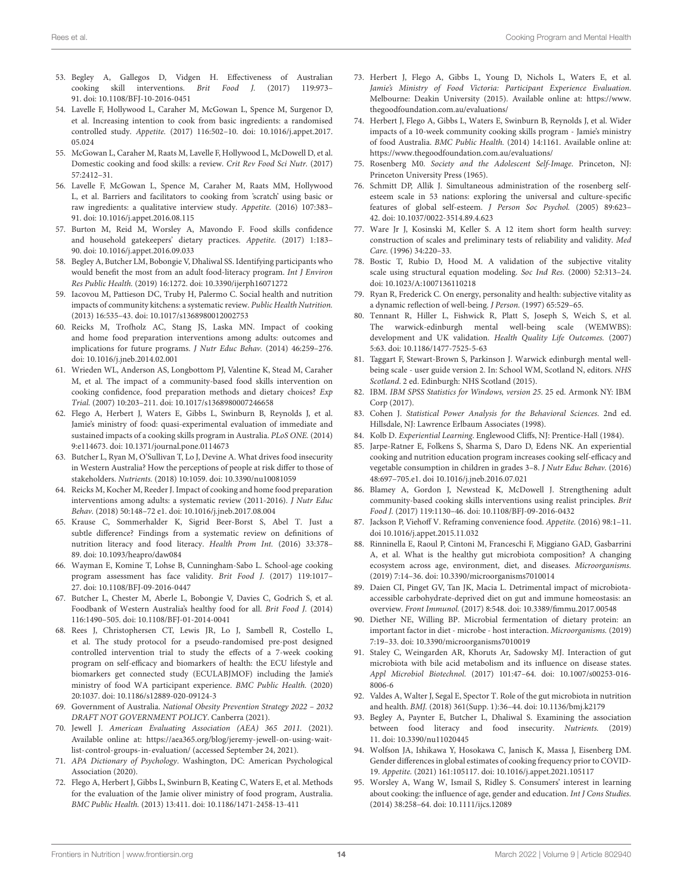- <span id="page-15-0"></span>53. Begley A, Gallegos D, Vidgen H. Effectiveness of Australian cooking skill interventions. Brit Food J. (2017) 119:973– 91. doi: [10.1108/BFJ-10-2016-0451](https://doi.org/10.1108/BFJ-10-2016-0451)
- <span id="page-15-1"></span>54. Lavelle F, Hollywood L, Caraher M, McGowan L, Spence M, Surgenor D, et al. Increasing intention to cook from basic ingredients: a randomised controlled study. Appetite. [\(2017\) 116:502–10. doi: 10.1016/j.appet.2017.](https://doi.org/10.1016/j.appet.2017.05.024) 05.024
- <span id="page-15-2"></span>55. McGowan L, Caraher M, Raats M, Lavelle F, Hollywood L, McDowell D, et al. Domestic cooking and food skills: a review. Crit Rev Food Sci Nutr. (2017) 57:2412–31.
- <span id="page-15-3"></span>56. Lavelle F, McGowan L, Spence M, Caraher M, Raats MM, Hollywood L, et al. Barriers and facilitators to cooking from 'scratch' using basic or raw ingredients: a qualitative interview study. Appetite. (2016) 107:383– 91. doi: [10.1016/j.appet.2016.08.115](https://doi.org/10.1016/j.appet.2016.08.115)
- <span id="page-15-4"></span>57. Burton M, Reid M, Worsley A, Mavondo F. Food skills confidence and household gatekeepers' dietary practices. Appetite. (2017) 1:183– 90. doi: [10.1016/j.appet.2016.09.033](https://doi.org/10.1016/j.appet.2016.09.033)
- <span id="page-15-5"></span>58. Begley A, Butcher LM, Bobongie V, Dhaliwal SS. Identifying participants who would benefit the most from an adult food-literacy program. Int J Environ Res Public Health. (2019) 16:1272. doi: [10.3390/ijerph16071272](https://doi.org/10.3390/ijerph16071272)
- <span id="page-15-6"></span>59. Iacovou M, Pattieson DC, Truby H, Palermo C. Social health and nutrition impacts of community kitchens: a systematic review. Public Health Nutrition. (2013) 16:535–43. doi: [10.1017/s1368980012002753](https://doi.org/10.1017/s1368980012002753)
- 60. Reicks M, Trofholz AC, Stang JS, Laska MN. Impact of cooking and home food preparation interventions among adults: outcomes and implications for future programs. J Nutr Educ Behav. (2014) 46:259–276. doi: [10.1016/j.jneb.2014.02.001](https://doi.org/10.1016/j.jneb.2014.02.001)
- <span id="page-15-7"></span>61. Wrieden WL, Anderson AS, Longbottom PJ, Valentine K, Stead M, Caraher M, et al. The impact of a community-based food skills intervention on cooking confidence, food preparation methods and dietary choices? Exp Trial. (2007) 10:203–211. doi: [10.1017/s1368980007246658](https://doi.org/10.1017/s1368980007246658)
- <span id="page-15-8"></span>62. Flego A, Herbert J, Waters E, Gibbs L, Swinburn B, Reynolds J, et al. Jamie's ministry of food: quasi-experimental evaluation of immediate and sustained impacts of a cooking skills program in Australia. PLoS ONE. (2014) 9:e114673. doi: [10.1371/journal.pone.0114673](https://doi.org/10.1371/journal.pone.0114673)
- <span id="page-15-9"></span>63. Butcher L, Ryan M, O'Sullivan T, Lo J, Devine A. What drives food insecurity in Western Australia? How the perceptions of people at risk differ to those of stakeholders. Nutrients. (2018) 10:1059. doi: [10.3390/nu10081059](https://doi.org/10.3390/nu10081059)
- <span id="page-15-10"></span>64. Reicks M, Kocher M, Reeder J. Impact of cooking and home food preparation interventions among adults: a systematic review (2011-2016). J Nutr Educ Behav. (2018) 50:148–72 e1. doi: [10.1016/j.jneb.2017.08.004](https://doi.org/10.1016/j.jneb.2017.08.004)
- <span id="page-15-36"></span>65. Krause C, Sommerhalder K, Sigrid Beer-Borst S, Abel T. Just a subtle difference? Findings from a systematic review on definitions of nutrition literacy and food literacy. Health Prom Int. (2016) 33:378– 89. doi: [10.1093/heapro/daw084](https://doi.org/10.1093/heapro/daw084)
- <span id="page-15-11"></span>66. Wayman E, Komine T, Lohse B, Cunningham-Sabo L. School-age cooking program assessment has face validity. Brit Food J. (2017) 119:1017– 27. doi: [10.1108/BFJ-09-2016-0447](https://doi.org/10.1108/BFJ-09-2016-0447)
- <span id="page-15-12"></span>67. Butcher L, Chester M, Aberle L, Bobongie V, Davies C, Godrich S, et al. Foodbank of Western Australia's healthy food for all. Brit Food J. (2014) 116:1490–505. doi: [10.1108/BFJ-01-2014-0041](https://doi.org/10.1108/BFJ-01-2014-0041)
- <span id="page-15-13"></span>68. Rees J, Christophersen CT, Lewis JR, Lo J, Sambell R, Costello L, et al. The study protocol for a pseudo-randomised pre-post designed controlled intervention trial to study the effects of a 7-week cooking program on self-efficacy and biomarkers of health: the ECU lifestyle and biomarkers get connected study (ECULABJMOF) including the Jamie's ministry of food WA participant experience. BMC Public Health. (2020) 20:1037. doi: [10.1186/s12889-020-09124-3](https://doi.org/10.1186/s12889-020-09124-3)
- <span id="page-15-14"></span>69. Government of Australia. National Obesity Prevention Strategy 2022 – 2032 DRAFT NOT GOVERNMENT POLICY. Canberra (2021).
- <span id="page-15-15"></span>70. Jewell J. American Evaluating Association (AEA) 365 2011. (2021). Available online at: [https://aea365.org/blog/jeremy-jewell-on-using-wait](https://aea365.org/blog/jeremy-jewell-on-using-wait-list-control-groups-in-evaluation/)[list-control-groups-in-evaluation/](https://aea365.org/blog/jeremy-jewell-on-using-wait-list-control-groups-in-evaluation/) (accessed September 24, 2021).
- <span id="page-15-16"></span>71. APA Dictionary of Psychology. Washington, DC: American Psychological Association (2020).
- <span id="page-15-17"></span>72. Flego A, Herbert J, Gibbs L, Swinburn B, Keating C, Waters E, et al. Methods for the evaluation of the Jamie oliver ministry of food program, Australia. BMC Public Health. (2013) 13:411. doi: [10.1186/1471-2458-13-411](https://doi.org/10.1186/1471-2458-13-411)
- <span id="page-15-18"></span>73. Herbert J, Flego A, Gibbs L, Young D, Nichols L, Waters E, et al. Jamie's Ministry of Food Victoria: Participant Experience Evaluation. Melbourne: Deakin University (2015). Available online at: [https://www.](https://www.thegoodfoundation.com.au/evaluations/) [thegoodfoundation.com.au/evaluations/](https://www.thegoodfoundation.com.au/evaluations/)
- <span id="page-15-19"></span>74. Herbert J, Flego A, Gibbs L, Waters E, Swinburn B, Reynolds J, et al. Wider impacts of a 10-week community cooking skills program - Jamie's ministry of food Australia. BMC Public Health. (2014) 14:1161. Available online at: <https://www.thegoodfoundation.com.au/evaluations/>
- <span id="page-15-20"></span>75. Rosenberg M0. Society and the Adolescent Self-Image. Princeton, NJ: Princeton University Press (1965).
- <span id="page-15-21"></span>76. Schmitt DP, Allik J. Simultaneous administration of the rosenberg selfesteem scale in 53 nations: exploring the universal and culture-specific features of global self-esteem. J Person Soc Psychol. (2005) 89:623– 42. doi: [10.1037/0022-3514.89.4.623](https://doi.org/10.1037/0022-3514.89.4.623)
- <span id="page-15-22"></span>77. Ware Jr J, Kosinski M, Keller S. A 12 item short form health survey: construction of scales and preliminary tests of reliability and validity. Med Care. (1996) 34:220–33.
- <span id="page-15-23"></span>78. Bostic T, Rubio D, Hood M. A validation of the subjective vitality scale using structural equation modeling. Soc Ind Res. (2000) 52:313–24. doi: [10.1023/A:1007136110218](https://doi.org/10.1023/A:1007136110218)
- <span id="page-15-24"></span>79. Ryan R, Frederick C. On energy, personality and health: subjective vitality as a dynamic reflection of well-being. J Person. (1997) 65:529–65.
- <span id="page-15-25"></span>80. Tennant R, Hiller L, Fishwick R, Platt S, Joseph S, Weich S, et al. The warwick-edinburgh mental well-being scale (WEMWBS): development and UK validation. Health Quality Life Outcomes. (2007) 5:63. doi: [10.1186/1477-7525-5-63](https://doi.org/10.1186/1477-7525-5-63)
- <span id="page-15-26"></span>81. Taggart F, Stewart-Brown S, Parkinson J. Warwick edinburgh mental wellbeing scale - user guide version 2. In: School WM, Scotland N, editors. NHS Scotland. 2 ed. Edinburgh: NHS Scotland (2015).
- <span id="page-15-27"></span>82. IBM. IBM SPSS Statistics for Windows, version 25. 25 ed. Armonk NY: IBM Corp (2017).
- <span id="page-15-28"></span>83. Cohen J. Statistical Power Analysis for the Behavioral Sciences. 2nd ed. Hillsdale, NJ: Lawrence Erlbaum Associates (1998).
- <span id="page-15-29"></span>84. Kolb D. Experiential Learning. Englewood Cliffs, NJ: Prentice-Hall (1984).
- <span id="page-15-30"></span>85. Jarpe-Ratner E, Folkens S, Sharma S, Daro D, Edens NK. An experiential cooking and nutrition education program increases cooking self-efficacy and vegetable consumption in children in grades 3–8. J Nutr Educ Behav. (2016) 48:697–705.e1. doi 10.1016/j.jneb.2016.07.021
- <span id="page-15-31"></span>86. Blamey A, Gordon J, Newstead K, McDowell J. Strengthening adult community-based cooking skills interventions using realist principles. Brit Food J. (2017) 119:1130–46. doi: [10.1108/BFJ-09-2016-0432](https://doi.org/10.1108/BFJ-09-2016-0432)
- <span id="page-15-32"></span>87. Jackson P, Viehoff V. Reframing convenience food. Appetite. (2016) 98:1–11. doi 10.1016/j.appet.2015.11.032
- <span id="page-15-33"></span>88. Rinninella E, Raoul P, Cintoni M, Franceschi F, Miggiano GAD, Gasbarrini A, et al. What is the healthy gut microbiota composition? A changing ecosystem across age, environment, diet, and diseases. Microorganisms. (2019) 7:14–36. doi: [10.3390/microorganisms7010014](https://doi.org/10.3390/microorganisms7010014)
- <span id="page-15-34"></span>89. Daien CI, Pinget GV, Tan JK, Macia L. Detrimental impact of microbiotaaccessible carbohydrate-deprived diet on gut and immune homeostasis: an overview. Front Immunol. (2017) 8:548. doi: [10.3389/fimmu.2017.00548](https://doi.org/10.3389/fimmu.2017.00548)
- 90. Diether NE, Willing BP. Microbial fermentation of dietary protein: an important factor in diet - microbe - host interaction. Microorganisms. (2019) 7:19–33. doi: [10.3390/microorganisms7010019](https://doi.org/10.3390/microorganisms7010019)
- 91. Staley C, Weingarden AR, Khoruts Ar, Sadowsky MJ. Interaction of gut microbiota with bile acid metabolism and its influence on disease states. Appl Microbiol Biotechnol. [\(2017\) 101:47–64. doi: 10.1007/s00253-016-](https://doi.org/10.1007/s00253-016-8006-6) 8006-6
- <span id="page-15-35"></span>92. Valdes A, Walter J, Segal E, Spector T. Role of the gut microbiota in nutrition and health. BMJ. (2018) 361(Supp. 1):36–44. doi: [10.1136/bmj.k2179](https://doi.org/10.1136/bmj.k2179)
- <span id="page-15-37"></span>93. Begley A, Paynter E, Butcher L, Dhaliwal S. Examining the association between food literacy and food insecurity. Nutrients. (2019) 11. doi: [10.3390/nu11020445](https://doi.org/10.3390/nu11020445)
- <span id="page-15-38"></span>94. Wolfson JA, Ishikawa Y, Hosokawa C, Janisch K, Massa J, Eisenberg DM. Gender differences in global estimates of cooking frequency prior to COVID-19. Appetite. (2021) 161:105117. doi: [10.1016/j.appet.2021.105117](https://doi.org/10.1016/j.appet.2021.105117)
- <span id="page-15-39"></span>95. Worsley A, Wang W, Ismail S, Ridley S. Consumers' interest in learning about cooking: the influence of age, gender and education. Int J Cons Studies. (2014) 38:258–64. doi: [10.1111/ijcs.12089](https://doi.org/10.1111/ijcs.12089)